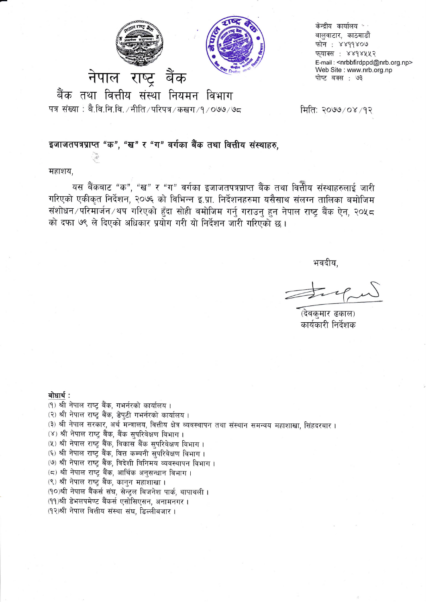



केन्द्रीय कार्यालय \*ं बालुवाटार, काठमाडौं फोन: ४४११४०७ फुयाक्स : ४४१४५५२ E-mail: <nrbbfirdppd@nrb.org.np> Web Site: www.nrb.org.np पोष्ट बक्स : ७३

बैंक तथा वित्तीय संस्था नियमन विभाग

पत्र संख्या : बै.वि.नि.वि. /नीति /परिपत्र /कखग /१ /०७७ /७८

मिति: २०७७/०४/१२

### इजाजतपत्रप्राप्त "क", "ख" र "ग" वर्गका बैंक तथा वित्तीय संस्थाहरु.

महाशय.

यस बैंकबाट "क", "ख" र "ग" वर्गका इजाजतपत्रप्राप्त बैंक तथा वित्तीय संस्थाहरुलाई जारी गरिएको एकीकृत निर्देशन, २०७६ को विभिन्न इ.प्रा. निर्देशनहरुमा यसैसाथ संलग्न तालिका बमोजिम संशोधन ∕ परिमार्जन ∕थप गरिएको हुँदा सोही बमोजिम गर्नु गराउनु हुन नेपाल राष्ट्र बैंक ऐन, २०५८ को दफा ७९ ले दिएको अधिकार प्रयोग गरी यो निर्देशन जारी गरिएको छ।

भवदीय,

(देवक्मार ढकाल) कार्यकारी निर्देशक

बोधार्थ:

(१) श्री नेपाल राष्ट्र बैंक, गभर्नरको कार्यालय। (२) श्री नेपाल राष्ट्र बैंक, डेपुटी गभर्नरको कार्यालय। (३) श्री नेपाल सरकार, अर्थ मन्त्रालय, वित्तीय क्षेत्र व्यवस्थापन तथा संस्थान समन्वय महाशाखा, सिंहदरबार । (४) श्री नेपाल राष्ट्र बैंक, बैंक सुपरिवेक्षण विभाग। (५) श्री नेपाल राष्ट्र बैंक, विकास बैंक सुपरिवेक्षण विभाग। (६) श्री नेपाल राष्ट्र बैंक, वित्त कम्पनी सुपरिवेक्षण विभाग। (७) श्री नेपाल राष्ट्र बैंक, विदेशी विनिमय व्यवस्थापन विभाग। (८) श्री नेपाल राष्ट्र बैंक, आर्थिक अनुसन्धान विभाग। (९) श्री नेपाल राष्ट्र बैंक, कानुन महाशाखा । (१०)श्री नेपाल बैंकर्स संघ, सेन्ट्रल बिजनेश पार्क, थापाथली । (११)श्री डेभलपमेण्ट बैंकर्स एसोसिएसन, अनामनगर। (१२)श्री नेपाल वित्तीय संस्था संघ, डिल्लीबजार।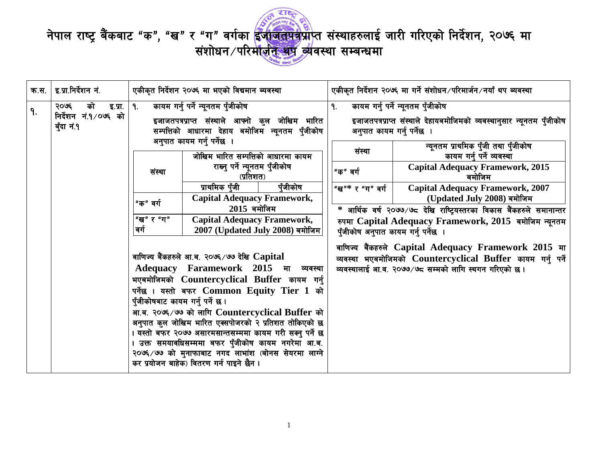

नेपाल राष्ट्र बैंकबाट "क", "ख" र "ग" वर्गका ईजाजतपत्रप्राप्त संस्थाहरुलाई जारी गरिएको निर्देशन, २०७६ मा<br>संशोधन /परिर्माज़ीन व्यवस्था सम्बन्धमा

| क.स. | इ.प्रा.निर्देशन नं.                                         | एकीकृत निर्देशन २०७६ मा भएको विद्यमान ब्यवस्था                                    |                                                                                                                                                                                                                                                                                                                                                                                                                                                                                                                                                                                                                                                                                                                                                                                                                                                                                                                                                          |    |                                                                                                              | एकीकृत निर्देशन २०७६ मा गर्ने संशोधन ∕परिमार्जन ∕नयाँ थप ब्यवस्था                                                                                                                                                                                                                                                                                                                                                                                                                                                                                                                                                             |
|------|-------------------------------------------------------------|-----------------------------------------------------------------------------------|----------------------------------------------------------------------------------------------------------------------------------------------------------------------------------------------------------------------------------------------------------------------------------------------------------------------------------------------------------------------------------------------------------------------------------------------------------------------------------------------------------------------------------------------------------------------------------------------------------------------------------------------------------------------------------------------------------------------------------------------------------------------------------------------------------------------------------------------------------------------------------------------------------------------------------------------------------|----|--------------------------------------------------------------------------------------------------------------|-------------------------------------------------------------------------------------------------------------------------------------------------------------------------------------------------------------------------------------------------------------------------------------------------------------------------------------------------------------------------------------------------------------------------------------------------------------------------------------------------------------------------------------------------------------------------------------------------------------------------------|
| 9.   | को<br>२०७६<br>इ.प्रा.<br>निर्देशन नं.१/०७६ को<br>बुँदा नं.१ | 9.<br>संस्था<br>"क" वर्ग<br>"ख" र "ग"<br>वर्ग<br>पुँजीकोषबाट कायम गर्नु पर्ने छ । | कायम गर्नु पर्ने न्यूनतम पुँजीकोष<br>इजाजतपत्रप्राप्त संस्थाले आफ्नो कुल जोखिम भारित<br>सम्पत्तिको आधारमा देहाय बमोजिम न्यूनतम पुँजीकोष<br>अनुपात कायम गर्नु पर्नेछ ।<br>जोखिम भारित सम्पत्तिको आधारमा कायम<br>राख्नु पर्ने न्यूनतम पुँजीकोष<br>(प्रतिशत)<br>प्राथमिक पँजी<br>पँजीकोष<br><b>Capital Adequacy Framework,</b><br>$2015$ बमोजिम<br><b>Capital Adequacy Framework,</b><br>2007 (Updated July 2008) बमोजिम<br>वाणिज्य बैंकहरुले आ.ब. २०७६ ⁄ ७७ देखि $\bf Capital$<br><b>Adequacy Faramework 2015</b><br>मा व्यवस्था<br>भएबमोजिमको Countercyclical Buffer कायम गर्नु<br>पर्नेछ । यस्तो बफर Common Equity Tier 1 को<br>आ.ब. २०७६/७७ को लागि Countercyclical Buffer को<br>अनुपात कुल जोखिम भारित एक्सपोजरको २ प्रतिशत तोकिएको छ<br>यस्तो बफर २०७७ असारमसान्तसम्ममा कायम गरी सक्नु पर्ने छ<br>उक्त समयावधिसम्ममा बफर पुँजीकोष कायम नगरेमा आ.ब.<br>२०७६/७७ को मुनाफाबाट नगद लाभांश (बोनस सेयरमा लाग्ने<br>कर प्रयोजन बाहेक) वितरण गर्न पाइने छैन । | 9. | अनुपात कायम गर्न् पर्नेछ ।<br>संस्था<br>"क" वर्ग<br>"ख"* र "ग" वर्ग  <br>पुँजीकोष अनुपात कायम गर्नु पर्नेछ । | कायम गर्नु पर्ने न्यूनतम पुँजीकोष<br>इजाजतपत्रप्राप्त संस्थाले देहायबमोजिमको व्यवस्थानुसार न्यूनतम पुँजीकोष<br>न्यूनतम प्राथमिक पुँजी तथा पुँजीकोष<br>कायम गर्नु पर्ने व्यवस्था<br><b>Capital Adequacy Framework, 2015</b><br>बमोजिम<br><b>Capital Adequacy Framework, 2007</b><br>(Updated July 2008) बमोजिम<br>* आर्थिक वर्ष २०७७/७८ देखि राष्ट्रियस्तरका विकास बैंकहरुले समानान्तर<br>रुपमा Capital Adequacy Framework, 2015 बमोजिम न्यूनतम<br>वाणिज्य बैंकहरुले Capital Adequacy Framework 2015 मा<br>व्यवस्था भएबमोजिमको Countercyclical Buffer कायम गर्नु पर्ने<br>व्यवस्थालाई आ.व. २०७७/७८ सम्मको लागि स्थगन गरिएको छ। |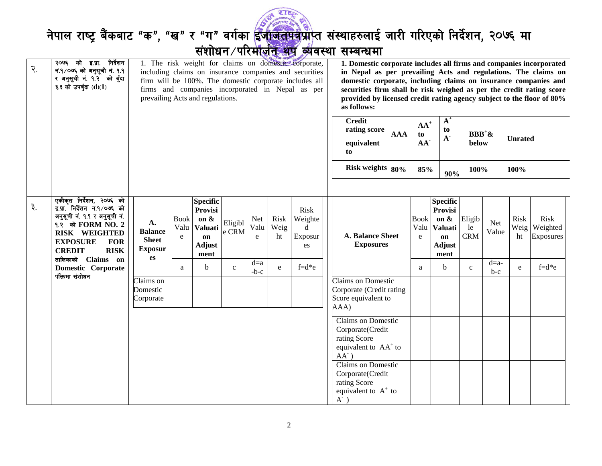

# नेपाल राष्ट्र बैंकबाट "क", "ख" र "ग" वर्गका <mark>ईजाजतपत्र</mark>प्राप्त संस्थाहरुलाई जारी गरिएको निर्देशन, २०७६ मा<br>संशोधन परि<del>र्माज़ीत श्रेष्ठ व्यंपरा सम्बन्ध</del>मा

| $\mathcal{R}$ . | २०७६ को इ.प्रा. निर्देशन<br>नं.१/०७६ को अनुसूची नं. १.१<br>र अनुसूची नं. १.२ को बुँदा<br>३.३ को उपबुँदा $(d)(1)$                                                                                                              | 1. The risk weight for claims on domestic corporate,<br>including claims on insurance companies and securities<br>firm will be 100%. The domestic corporate includes all<br>firms and companies incorporated in Nepal as per<br>prevailing Acts and regulations. |                                     |                                                                                     |                  |                  | 1. Domestic corporate includes all firms and companies incorporated<br>in Nepal as per prevailing Acts and regulations. The claims on<br>domestic corporate, including claims on insurance companies and<br>securities firm shall be risk weighed as per the credit rating score<br>provided by licensed credit rating agency subject to the floor of 80%<br>as follows: |                                       |                                                                                                                                                                                                                                     |            |                                 |                                                                                 |                            |                 |                    |                               |
|-----------------|-------------------------------------------------------------------------------------------------------------------------------------------------------------------------------------------------------------------------------|------------------------------------------------------------------------------------------------------------------------------------------------------------------------------------------------------------------------------------------------------------------|-------------------------------------|-------------------------------------------------------------------------------------|------------------|------------------|--------------------------------------------------------------------------------------------------------------------------------------------------------------------------------------------------------------------------------------------------------------------------------------------------------------------------------------------------------------------------|---------------------------------------|-------------------------------------------------------------------------------------------------------------------------------------------------------------------------------------------------------------------------------------|------------|---------------------------------|---------------------------------------------------------------------------------|----------------------------|-----------------|--------------------|-------------------------------|
|                 |                                                                                                                                                                                                                               |                                                                                                                                                                                                                                                                  |                                     |                                                                                     |                  |                  |                                                                                                                                                                                                                                                                                                                                                                          |                                       | <b>Credit</b><br>rating score<br>equivalent<br>to                                                                                                                                                                                   | <b>AAA</b> | $AA^+$<br>to<br>AA <sup>-</sup> | $A^+$<br>to<br>$\mathbf{A}^{\text{-}}$                                          | $BBB^+&$<br>below          |                 | <b>Unrated</b>     |                               |
|                 |                                                                                                                                                                                                                               |                                                                                                                                                                                                                                                                  |                                     |                                                                                     |                  |                  |                                                                                                                                                                                                                                                                                                                                                                          |                                       | Risk weights 80%                                                                                                                                                                                                                    |            | 85%                             | 90%                                                                             | 100%                       |                 | 100%               |                               |
| ३.              | एकीकृत निर्देशन, २०७६ को<br>इ.प्रा. निर्देशन नं.१/०७६ को<br>अनुसूची नं. १.१ र अनुसूची नं.<br>१.२ को FORM NO. 2<br><b>RISK WEIGHTED</b><br><b>EXPOSURE</b><br><b>FOR</b><br><b>RISK</b><br><b>CREDIT</b><br>तालिकाको Claims on | A.<br><b>Balance</b><br><b>Sheet</b><br><b>Exposur</b><br>es                                                                                                                                                                                                     | <b>Book</b><br>Valu<br>$\mathbf{e}$ | <b>Specific</b><br>Provisi<br>on &<br><b>Valuati</b><br>on<br><b>Adjust</b><br>ment | Eligibl<br>e CRM | Net<br>Valu<br>e | Risk<br>Weig<br>ht                                                                                                                                                                                                                                                                                                                                                       | Risk<br>Weighte<br>d<br>Exposur<br>es | <b>A. Balance Sheet</b><br><b>Exposures</b>                                                                                                                                                                                         |            | <b>Book</b><br>Valu<br>e        | <b>Specific</b><br>Provisi<br>on $\&$<br>Valuati<br>on<br><b>Adjust</b><br>ment | Eligib<br>le<br><b>CRM</b> | Net<br>Value    | Risk<br>Weig<br>ht | Risk<br>Weighted<br>Exposures |
|                 | <b>Domestic Corporate</b><br>पंक्तिमा संशोधन                                                                                                                                                                                  | Claims on<br>Domestic<br>Corporate                                                                                                                                                                                                                               | a                                   | b                                                                                   | $\mathbf{C}$     | $d=a$<br>$-b-c$  | e                                                                                                                                                                                                                                                                                                                                                                        | $f = d * e$                           | Claims on Domestic<br>Corporate (Credit rating<br>Score equivalent to<br>AAA)                                                                                                                                                       |            | a                               | b                                                                               | $\mathbf{C}$               | $d=a-$<br>$b-c$ | e                  | $f = d*e$                     |
|                 |                                                                                                                                                                                                                               |                                                                                                                                                                                                                                                                  |                                     |                                                                                     |                  |                  |                                                                                                                                                                                                                                                                                                                                                                          |                                       | <b>Claims on Domestic</b><br>Corporate(Credit<br>rating Score<br>equivalent to AA <sup>+</sup> to<br>$AA^{\dagger}$ )<br><b>Claims on Domestic</b><br>Corporate(Credit<br>rating Score<br>equivalent to $A^+$ to<br>$A^{\dagger}$ ) |            |                                 |                                                                                 |                            |                 |                    |                               |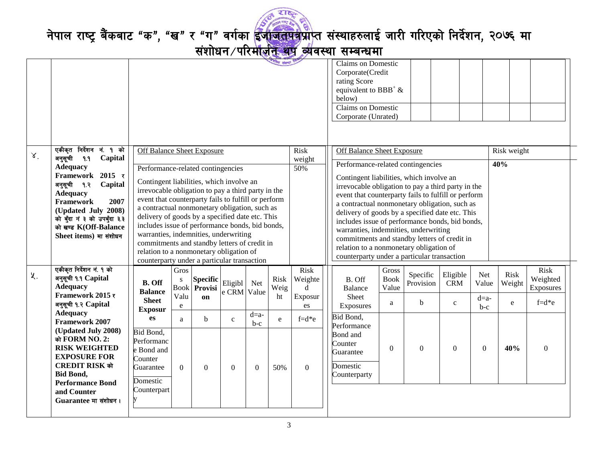

नेपाल राष्ट्र बैंकबाट "क", "ख" र "ग" वर्गका <mark>ईंजीजतमत्र</mark>प्राप्त संस्थाहरुलाई जारी गरिएको निर्देशन, २०७६ मा

संशोधन ⁄ परिमोर्जन थप व्यवस्था सम्बन्धमा

|       |                                                 |                                                                                                           |                     |                |              |          | गीय संस्था  |               | <b>Claims on Domestic</b><br>Corporate(Credit<br>rating Score<br>equivalent to BBB <sup>+</sup> $\&$<br>below)<br><b>Claims on Domestic</b><br>Corporate (Unrated) |             |                       |                        |                  |                       |              |
|-------|-------------------------------------------------|-----------------------------------------------------------------------------------------------------------|---------------------|----------------|--------------|----------|-------------|---------------|--------------------------------------------------------------------------------------------------------------------------------------------------------------------|-------------|-----------------------|------------------------|------------------|-----------------------|--------------|
| X     | एकीकृत निर्देशन नं. १ को                        | <b>Off Balance Sheet Exposure</b>                                                                         |                     |                |              |          |             | <b>Risk</b>   | <b>Off Balance Sheet Exposure</b>                                                                                                                                  |             |                       |                        |                  | Risk weight           |              |
|       | Capital<br>अनुसूची<br>9.9                       |                                                                                                           |                     |                |              |          |             | weight        | Performance-related contingencies                                                                                                                                  |             |                       |                        |                  | 40%                   |              |
|       | <b>Adequacy</b><br>Framework 2015 र             | Performance-related contingencies                                                                         |                     |                |              |          |             | 50%           | Contingent liabilities, which involve an                                                                                                                           |             |                       |                        |                  |                       |              |
|       | अनुसूची १.२<br>Capital                          | Contingent liabilities, which involve an                                                                  |                     |                |              |          |             |               | irrevocable obligation to pay a third party in the                                                                                                                 |             |                       |                        |                  |                       |              |
|       | <b>Adequacy</b><br>Framework<br>2007            | irrevocable obligation to pay a third party in the<br>event that counterparty fails to fulfill or perform |                     |                |              |          |             |               | event that counterparty fails to fulfill or perform                                                                                                                |             |                       |                        |                  |                       |              |
|       | (Updated July 2008)                             | a contractual nonmonetary obligation, such as                                                             |                     |                |              |          |             |               | a contractual nonmonetary obligation, such as<br>delivery of goods by a specified date etc. This                                                                   |             |                       |                        |                  |                       |              |
|       | को बुँदा नं ३ को उपबुँदा ३.३                    | delivery of goods by a specified date etc. This<br>includes issue of performance bonds, bid bonds,        |                     |                |              |          |             |               | includes issue of performance bonds, bid bonds,                                                                                                                    |             |                       |                        |                  |                       |              |
|       | को खण्ड K(Off-Balance<br>Sheet items) मा संशोधन | warranties, indemnities, underwriting                                                                     |                     |                |              |          |             |               | warranties, indemnities, underwriting                                                                                                                              |             |                       |                        |                  |                       |              |
|       |                                                 | commitments and standby letters of credit in                                                              |                     |                |              |          |             |               | commitments and standby letters of credit in<br>relation to a nonmonetary obligation of                                                                            |             |                       |                        |                  |                       |              |
|       |                                                 | relation to a nonmonetary obligation of<br>counterparty under a particular transaction                    |                     |                |              |          |             |               | counterparty under a particular transaction                                                                                                                        |             |                       |                        |                  |                       |              |
|       | एकीकृत निर्देशन नं. १ को                        |                                                                                                           | Gros                |                |              |          |             | Risk          |                                                                                                                                                                    | Gross       |                       |                        |                  |                       | Risk         |
| $x$ . | अनुसूची १.१ Capital                             | <b>B.</b> Off                                                                                             | ${\bf S}$           | Specific       | Eligibl      | Net      | <b>Risk</b> | Weighte       | B. Off                                                                                                                                                             | <b>Book</b> | Specific<br>Provision | Eligible<br><b>CRM</b> | Net<br>Value     | <b>Risk</b><br>Weight | Weighted     |
|       | <b>Adequacy</b><br>Framework 2015 र             | <b>Balance</b>                                                                                            | <b>Book</b><br>Valu | Provisi        | e CRM Value  |          | Weig        | $\mathbf d$   | <b>Balance</b>                                                                                                                                                     | Value       |                       |                        |                  |                       | Exposures    |
|       | अनुसूची १.२ Capital                             | <b>Sheet</b>                                                                                              | ${\bf e}$           | on             |              |          | ht          | Exposur<br>es | Sheet<br>Exposures                                                                                                                                                 | a           | $\mathbf b$           | $\mathbf{c}$           | $d=a-$<br>$b-c$  | e                     | $f = d*e$    |
|       | <b>Adequacy</b>                                 | <b>Exposur</b><br>es                                                                                      | a                   | b              | $\mathbf{c}$ | $d=a-$   | e           | $f = d * e$   | Bid Bond,                                                                                                                                                          |             |                       |                        |                  |                       |              |
|       | <b>Framework 2007</b><br>(Updated July 2008)    | Bid Bond,                                                                                                 |                     |                |              | $b-c$    |             |               | Performance                                                                                                                                                        |             |                       |                        |                  |                       |              |
|       | को FORM NO. 2:                                  | Performanc                                                                                                |                     |                |              |          |             |               | Bond and<br>Counter                                                                                                                                                |             |                       |                        |                  |                       |              |
|       | <b>RISK WEIGHTED</b>                            | e Bond and                                                                                                |                     |                |              |          |             |               | Guarantee                                                                                                                                                          | $\Omega$    | $\Omega$              | $\theta$               | $\boldsymbol{0}$ | 40%                   | $\mathbf{0}$ |
|       | <b>EXPOSURE FOR</b><br>CREDIT RISK को           | Counter<br>Guarantee                                                                                      | $\Omega$            | $\overline{0}$ | $\mathbf{0}$ | $\theta$ | 50%         | $\mathbf{0}$  | Domestic                                                                                                                                                           |             |                       |                        |                  |                       |              |
|       | <b>Bid Bond,</b>                                |                                                                                                           |                     |                |              |          |             |               | Counterparty                                                                                                                                                       |             |                       |                        |                  |                       |              |
|       | <b>Performance Bond</b>                         | Domestic<br>Counterpart                                                                                   |                     |                |              |          |             |               |                                                                                                                                                                    |             |                       |                        |                  |                       |              |
|       | and Counter<br>Guarantee मा संशोधन।             |                                                                                                           |                     |                |              |          |             |               |                                                                                                                                                                    |             |                       |                        |                  |                       |              |
|       |                                                 |                                                                                                           |                     |                |              |          |             |               |                                                                                                                                                                    |             |                       |                        |                  |                       |              |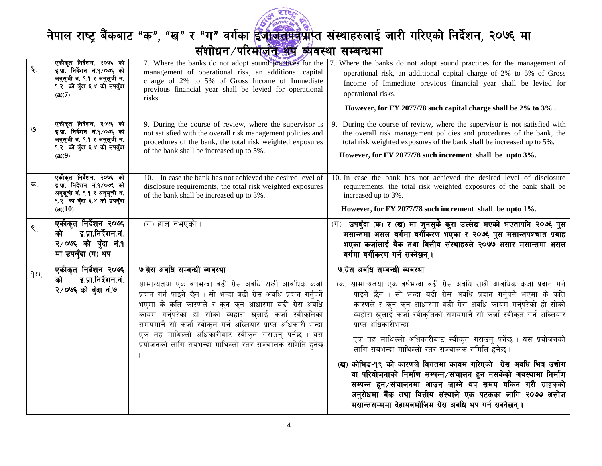

नेपाल राष्ट्र बैंकबाट "क", "ख" र "ग" वर्गका <mark>ईंजीजतमत्र</mark>प्राप्त संस्थाहरुलाई जारी गरिएको निर्देशन, २०७६ मा

संशोधन ⁄ परिमोर्जन थप व्यवस्था सम्बन्धमा

| ६.              | एकीकृत निर्देशन, २०७६ को<br>इ.प्रा. निर्देशन नं.१/०७६ को<br>अनुसूची नं. १.१ र अनुसूची नं.<br>१.२ को बुँदा ६.४ को उपबुँदा<br>(a)(7)  | 7. Where the banks do not adopt sound practices for the<br>management of operational risk, an additional capital<br>charge of 2% to 5% of Gross Income of Immediate<br>previous financial year shall be levied for operational<br>risks.                                                                                                                                                                                                                         | 7. Where the banks do not adopt sound practices for the management of<br>operational risk, an additional capital charge of 2% to 5% of Gross<br>Income of Immediate previous financial year shall be levied for<br>operational risks.<br>However, for FY 2077/78 such capital charge shall be 2% to 3%.                                                                                                                                                                                                                                                                                                                                                                                                                                                                                                |
|-----------------|-------------------------------------------------------------------------------------------------------------------------------------|------------------------------------------------------------------------------------------------------------------------------------------------------------------------------------------------------------------------------------------------------------------------------------------------------------------------------------------------------------------------------------------------------------------------------------------------------------------|--------------------------------------------------------------------------------------------------------------------------------------------------------------------------------------------------------------------------------------------------------------------------------------------------------------------------------------------------------------------------------------------------------------------------------------------------------------------------------------------------------------------------------------------------------------------------------------------------------------------------------------------------------------------------------------------------------------------------------------------------------------------------------------------------------|
| $\mathcal{Q}$   | एकीकृत निर्देशन, २०७६ को<br>इ.प्रा. निर्देशन नं.१/०७६ को<br>अनुसूची नं. १.१ र अनुसूची नं.<br>१.२ को बुँदा ६.४ को उपबुँदा<br>(a)(9)  | 9. During the course of review, where the supervisor is<br>not satisfied with the overall risk management policies and<br>procedures of the bank, the total risk weighted exposures<br>of the bank shall be increased up to 5%.                                                                                                                                                                                                                                  | During the course of review, where the supervisor is not satisfied with<br>9.<br>the overall risk management policies and procedures of the bank, the<br>total risk weighted exposures of the bank shall be increased up to 5%.<br>However, for FY 2077/78 such increment shall be upto 3%.                                                                                                                                                                                                                                                                                                                                                                                                                                                                                                            |
| ζ.              | एकीकृत निर्देशन, २०७६ को<br>इ.प्रा. निर्देशन नं.१/०७६ को<br>अनुसूची नं. १.१ र अनुसूची नं.<br>१.२ को बुँदा ६.४ को उपबुँदा<br>(a)(10) | 10. In case the bank has not achieved the desired level of<br>disclosure requirements, the total risk weighted exposures<br>of the bank shall be increased up to 3%.                                                                                                                                                                                                                                                                                             | 10. In case the bank has not achieved the desired level of disclosure<br>requirements, the total risk weighted exposures of the bank shall be<br>increased up to 3%.<br>However, for FY 2077/78 such increment shall be upto 1%.                                                                                                                                                                                                                                                                                                                                                                                                                                                                                                                                                                       |
| $\mathcal{S}$ . | एकीकृत निर्देशन २०७६<br>इ.प्रा.निर्देशन.नं.<br>को<br>२/०७६ को बुँदा नं.१<br>मा उपबुँदा (ग) थप                                       | (ग) हाल नभएको ।                                                                                                                                                                                                                                                                                                                                                                                                                                                  | (ग) उपबुँदा (क) र (ख) मा जुनसुकै कुरा उल्लेख भएको भएतापनि २०७६ पुस<br>मसान्तमा असल वर्गमा वर्गीकरण भएका र २०७६ पुस मसान्तपश्चात प्रवाह<br>भएका कर्जालाई बैंक तथा वित्तीय संस्थाहरुले २०७७ असार मसान्तमा असल<br>वर्गमा वर्गीकरण गर्न सक्नेछन् ।                                                                                                                                                                                                                                                                                                                                                                                                                                                                                                                                                         |
| 90.             | एकीकृत निर्देशन २०७६<br>इ.प्रा.निर्देशन.नं.<br>को<br>२/०७६ को बँदा नं.७                                                             | ७.ग्रेस अवधि सम्बन्धी व्यवस्था<br>सामान्यतया एक वर्षभन्दा वढी ग्रेस अवधि राखी आवधिक कर्जा<br>प्रदान गर्न पाइने छैन । सो भन्दा बढी ग्रेस अवधि प्रदान गर्नुपर्ने<br>भएमा के कति कारणले र कन कन आधारमा बढी ग्रेस अवधि<br>कायम गर्नुपरेको हो सोको व्यहोरा खुलाई कर्जा स्वीकृतिको<br>समयमानै सो कर्जा स्वीकृत गर्न अख्तियार प्राप्त अधिकारी भन्दा<br>एक तह माथिल्लो अधिकारीबाट स्वीकृत गराउन् पर्नेछ । यस<br>प्रयोजनको लागि सबभन्दा माथिल्लो स्तर सञ्चालक समिति हुनेछ | ७.ग्रेस अवधि सम्बन्धी व्यवस्था<br>सामान्यतया एक वर्षभन्दा वढी ग्रेस अवधि राखी आवधिक कर्जा प्रदान गर्न<br>(5)<br>पाइने छैन । सो भन्दा बढी ग्रेस अवधि प्रदान गर्नुपर्ने भएमा के कति<br>कारणले र कुन कुन आधारमा बढी ग्रेस अवधि कायम गर्नुपरेको हो सोको<br>व्यहोरा खुलाई कर्जा स्वीकृतिको समयमानै सो कर्जा स्वीकृत गर्न अख्तियार<br>प्राप्त अधिकारीभन्दा<br>एक तह माथिल्लो अधिकारीबाट स्वीकृत गराउनु पर्नेछ । यस प्रयोजनको<br>लागि सबभन्दा माथिल्लो स्तर सञ्चालक समिति हुनेछ ।<br>(ख) कोभिड-१९ को कारणले विगतमा कायम गरिएको ग्रेस अवधि भित्र उद्योग<br>वा परियोजनाको निर्माण सम्पन्न⁄संचालन हुन नसकेको अवस्थामा निर्माण<br>सम्पन्न हुन/संचालनमा आउन लाग्ने थप समय यकिन गरी ग्राहकको<br>अनुरोधमा बैंक तथा वित्तीय संस्थाले एक पटकका लागि २०७७ असोज<br>मसान्तसम्ममा देहायबमोजिम ग्रेस अवधि थप गर्न सक्नेछन्। |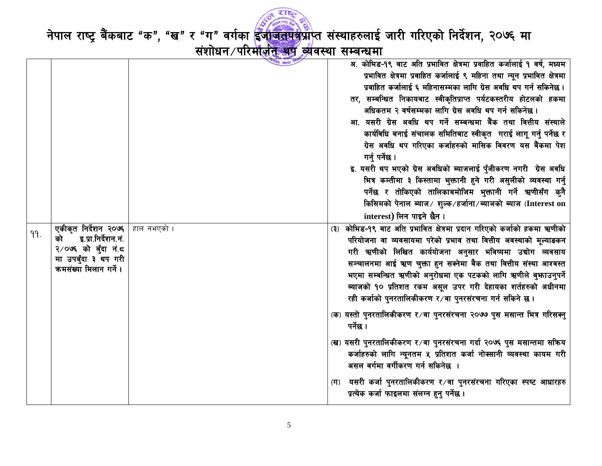

नेपाल राष्ट्र बैंकबाट "क", "ख" र "ग" वर्गका <mark>ईजाजतपत्र</mark>प्राप्त संस्थाहरुलाई जारी गरिएको निर्देशन, २०७६ मा<br>संशोधन परिमाज<del>़ीत अप व्</del>यवस्था सम्बन्धमा

|     |                                              |             | अ. कोभिड-१९ बाट अति प्रभावित क्षेत्रमा प्रवाहित कर्जालाई १ वर्ष, मध्यम<br>प्रभावित क्षेत्रमा प्रवाहित कर्जालाई ९ महिना तथा न्यून प्रभावित क्षेत्रमा |
|-----|----------------------------------------------|-------------|-----------------------------------------------------------------------------------------------------------------------------------------------------|
|     |                                              |             | प्रवाहित कर्जालाई ६ महिनासम्मका लागि ग्रेस अवधि थप गर्न सकिनेछ ।                                                                                    |
|     |                                              |             | तर, सम्बन्धित निकायबाट स्वीकृतिप्राप्त पर्यटकस्तरीय होटलको हकमा                                                                                     |
|     |                                              |             | अधिकतम २ वर्षसम्मका लागि ग्रेस अवधि थप गर्न सकिनेछ ।                                                                                                |
|     |                                              |             | आ. यसरी ग्रेस अवधि थप गर्ने सम्बन्धमा बैंक तथा वित्तीय संस्थाले                                                                                     |
|     |                                              |             | कार्यविधि बनाई संचालक समितिबाट स्वीकृत गराई लागू गर्नु पर्नेछ र                                                                                     |
|     |                                              |             | ग्रेस अवधि थप गरिएका कर्जाहरुको मासिक विवरण यस बैंकमा पेश                                                                                           |
|     |                                              |             | गर्न् पर्नेछ ।                                                                                                                                      |
|     |                                              |             | इ. यसरी थप भएको ग्रेस अवधिको ब्याजलाई पुँजीकरण नगरी ग्रेस अवधि                                                                                      |
|     |                                              |             | भित्र कम्तीमा ३ किस्तामा भुक्तानी हुने गरी असुलीको व्यवस्था गर्नु                                                                                   |
|     |                                              |             | पर्नेछ र तोकिएको तालिकाबमोजिम भुक्तानी गर्ने ऋणीसँग कुनै                                                                                            |
|     |                                              |             | किसिमको पेनाल ब्याज/ शुल्क/हर्जाना/ब्याजको ब्याज (Interest on                                                                                       |
|     |                                              |             | interest) लिन पाइने छैन।                                                                                                                            |
| 99. | एकीकृत निर्देशन २०७६                         | हाल नभएको । | कोभिड-१९ बाट अति प्रभावित क्षेत्रमा प्रदान गरिएको कर्जाको हकमा ऋणीको<br>(3)                                                                         |
|     | इ.प्रा.निर्देशन.नं.<br>को                    |             | परियोजना वा व्यवसायमा परेको प्रभाव तथा वित्तीय अवस्थाको मूल्याडकन                                                                                   |
|     | २/०७६ को बुँदा नं.८                          |             | गरी ऋणीको लिखित कार्ययोजना अनुसार भविष्यमा उद्योग व्यवसाय                                                                                           |
|     | मा उपबुँदा ३ थप गरी<br>कमसंख्या मिलान गर्ने। |             | सञ्चालनमा आई ऋण चुक्ता हुन सक्नेमा बैक तथा वित्तीय संस्था आश्वस्त                                                                                   |
|     |                                              |             | भएमा सम्बन्धित ऋणीको अनुरोधमा एक पटकको लागि ऋणीले बुभ्फाउनुपर्ने                                                                                    |
|     |                                              |             | ब्याजको १० प्रतिशत रकम असूल उपर गरी देहायका शर्तहरुको अधीनमा                                                                                        |
|     |                                              |             | रही कर्जाको पुनरतालिकीकरण र∕वा पुनरसंरचना गर्न सकिने छ।                                                                                             |
|     |                                              |             | (क) यस्तो पुनरतालिकीकरण र∕वा पुनरसंरचना २०७७ पुस मसान्त भित्र गरिसक्नु                                                                              |
|     |                                              |             | पर्नेछ ।                                                                                                                                            |
|     |                                              |             | (ख) यसरी पुनरतालिकीकरण र⁄वा पुनरसंरचना गर्दा २०७६ पुस मसान्तमा सक्रिय                                                                               |
|     |                                              |             | कर्जाहरुको लागि न्यूनतम ५ प्रतिशत कर्जा नोक्सानी व्यवस्था कायम गरी                                                                                  |
|     |                                              |             | असल वर्गमा वर्गीकरण गर्न सकिनेछ                                                                                                                     |
|     |                                              |             | यसरी कर्जा पुनरतालिकीकरण र ∕वा पुनरसंरचना गरिएका स्पष्ट आधारहरु<br>$(\mathbf{\overline{T}})$                                                        |
|     |                                              |             | प्रत्येक कर्जा फाइलमा संलग्न हुनु पर्नेछ ।                                                                                                          |
|     |                                              |             |                                                                                                                                                     |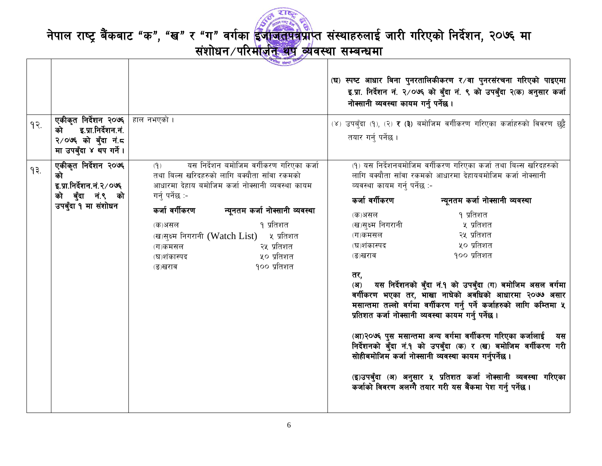

| 9   | एकीकृत निर्देशन २०७६<br>इ.प्रा.निर्देशन.नं.<br>को<br>२/०७६ को बुँदा नं.८<br>मा उपबँदा ४ थप गर्ने। | लीय संस्था<br>हाल नभएको ।                                                                                                                                                                                                                                                                                                                                                       | (घ) स्पष्ट आधार बिना पुनरतालिकीकरण र⁄वा पुनरसंरचना गरिएको पाइएमा<br>इ.प्रा. निर्देशन नं. २/०७६ को बुँदा नं. ९ को उपबुँदा २(क) अनुसार कर्जा<br>नोक्सानी व्यवस्था कायम गर्नु पर्नेछ।<br>(४) उपबँदा (१), (२) र (३) बमोजिम वर्गीकरण गरिएका कर्जाहरुको विवरण छट्टै<br>तयार गर्न् पर्नेछ ।                                                                                                                                                                                                                                                                                                                                                                                                                                                                                                                                                                                                                                                                        |
|-----|---------------------------------------------------------------------------------------------------|---------------------------------------------------------------------------------------------------------------------------------------------------------------------------------------------------------------------------------------------------------------------------------------------------------------------------------------------------------------------------------|-------------------------------------------------------------------------------------------------------------------------------------------------------------------------------------------------------------------------------------------------------------------------------------------------------------------------------------------------------------------------------------------------------------------------------------------------------------------------------------------------------------------------------------------------------------------------------------------------------------------------------------------------------------------------------------------------------------------------------------------------------------------------------------------------------------------------------------------------------------------------------------------------------------------------------------------------------------|
| 9₹. | एकीकृत निर्देशन २०७६<br>को<br>इ.प्रा.निर्देशन.नं.२/०७६<br>को बुँदा नं.९ को<br>उपबुँदा १ मा संशोधन | यस निर्देशन बमोजिम वर्गीकरण गरिएका कर्जा<br>(9)<br>तथा बिल्स खरिदहरुको लागि बक्यौता साँवा रकमको<br>आधारमा देहाय बमोजिम कर्जा नोक्सानी व्यवस्था कायम<br>गर्न् पर्नेछ :-<br>कर्जा वर्गीकरण<br>न्यूनतम कर्जा नोक्सानी व्यवस्था<br>१ प्रतिशत<br>(क)असल<br>(ख)सुक्ष्म निगरानी (Watch List) ५ प्रतिशत<br>२५ प्रतिशत<br>(ग)कमसल<br>५० प्रतिशत<br>(घ)शंकास्पद<br>१०० प्रतिशत<br>(ङ)खराव | (१) यस निर्देशनबमोजिम वर्गीकरण गरिएका कर्जा तथा बिल्स खरिदहरुको<br>लागि बक्यौता साँवा रकमको आधारमा देहायबमोजिम कर्जा नोक्सानी<br>व्यवस्था कायम गर्न् पर्नेछ :-<br>कर्जा वर्गीकरण<br>न्यूनतम कर्जा नोक्सानी व्यवस्था<br>१ प्रतिशत<br>(क)असल<br>(ख)सुक्ष्म निगरानी<br>५ प्रतिशत<br>२५ प्रतिशत<br>(ग)कमसल<br>५० प्रतिशत<br>(घ)शंकास्पद<br>१०० प्रतिशत<br>(ङ)खराव<br>तर,<br>(अ) यस निर्देशनको बुँदा नं.१ को उपबुँदा (ग) बमोजिम असल वर्गमा<br>वर्गीकरण भएका तर, भाखा नाघेको अवधिको आधारमा २०७७ असार<br>मसान्तमा तल्लो वर्गमा वर्गीकरण गर्नु पर्ने कर्जाहरुको लागि कम्तिमा ५<br>प्रतिशत कर्जा नोक्सानी व्यवस्था कायम गर्नु पर्नेछ ।<br>(आ)२०७६ पुस मसान्तमा अन्य वर्गमा वर्गीकरण गरिएका कर्जालाई<br>यस<br>निर्देशनको बुँदा नं.१ को उपबुँदा (क) र (ख) बमोजिम वर्गीकरण गरी<br>सोहीबमोजिम कर्जा नोक्सानी व्यवस्था कायम गर्नुपर्नेछ ।<br>(इ)उपबुँदा (अ) अनुसार ५ प्रतिशत कर्जा नोक्सानी व्यवस्था गरिएका<br>कर्जाको विवरण अलग्गै तयार गरी यस बैंकमा पेश गर्नु पर्नेछ । |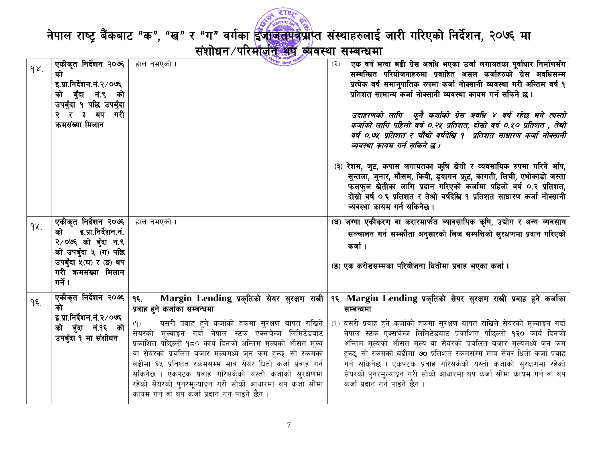

| 98. | एकीकृत निर्देशन २०७६<br>को<br>इ.प्रा.निर्देशन.नं.२/०७६<br>को बुँदा नं.९ को<br>उपबुँदा १ पछि उपबुँदा<br>२ र ३ थप गरी<br>कमसंख्या मिलान                        | हाल नभएको ।                                                                                                                                                                                                                                                                                                                                                                                                                                                                                                                                                              | एक वर्ष भन्दा बढी ग्रेस अवधि भएका उर्जा लगायतका पूर्वाधार निर्माणसँग<br>(2)<br>सम्बन्धित परियोजनाहरुमा प्रवाहित असल कर्जाहरुको ग्रेस अवधिसम्म<br>प्रत्येक वर्ष समानुपातिक रुपमा कर्जा नोक्सानी व्यवस्था गरी अन्तिम वर्ष १<br>प्रतिशत सामान्य कर्जा नोक्सानी व्यवस्था कायम गर्न सकिने छ।<br>उदाहरणको लागि कुनै कर्जाको ग्रेस अवधि ४ वर्ष रहेछ भने त्यस्तो<br>कर्जाको लागि पहिलो वर्ष ०.२५ प्रतिशत, दोस्रो वर्ष ०.५० प्रतिशत , तेश्रो<br>वर्ष ०.७५ प्रतिशत र चौथो वर्षदेखि १  प्रतिशत साधारण कर्जा नोक्सानी<br>व्यवस्था कायम गर्न सकिने छ ।                              |
|-----|--------------------------------------------------------------------------------------------------------------------------------------------------------------|--------------------------------------------------------------------------------------------------------------------------------------------------------------------------------------------------------------------------------------------------------------------------------------------------------------------------------------------------------------------------------------------------------------------------------------------------------------------------------------------------------------------------------------------------------------------------|------------------------------------------------------------------------------------------------------------------------------------------------------------------------------------------------------------------------------------------------------------------------------------------------------------------------------------------------------------------------------------------------------------------------------------------------------------------------------------------------------------------------------------------------------------------------|
|     |                                                                                                                                                              |                                                                                                                                                                                                                                                                                                                                                                                                                                                                                                                                                                          | (३) रेशम, जुट, कपास लगायतका कृषि खेती र व्यवसायिक रुपमा गरिने आँप,<br>सुन्तला, जुनार, मौसम, किवी, ड्रयागन फ्रुट, कागती, लिची, एभोकाडो जस्ता<br>फलफूल खेतीका लागि प्रदान गरिएको कर्जामा पहिलो वर्ष ०.२ प्रतिशत,<br>दोस्रो वर्ष ०.६ प्रतिशत र तेश्रो वर्षदेखि १ प्रतिशत साधारण कर्जा नोक्सानी<br>व्यवस्था कायम गर्न सकिनेछ ।                                                                                                                                                                                                                                             |
| qy. | एकीकृत निर्देशन २०७६  <br>इ.प्रा.निर्देशन.नं.<br>को<br>२/०७६ को बुँदा नं.९<br>को उपबुँदा ५ (ग) पछि<br>उपबुँदा ५(घ) र (ङ) थप<br>गरी कमसंख्या मिलान<br>गर्ने । | हाल नभएको ।                                                                                                                                                                                                                                                                                                                                                                                                                                                                                                                                                              | (घ) जग्गा एकीकरण वा करारमार्फत व्यावसायिक कृषि, उद्योग र अन्य व्यवसाय<br>सञ्चालन गर्न सम्भौता अनुसारको लिज सम्पत्तिको सुरक्षणमा प्रदान गरिएको<br>कर्जा ।<br>(ङ) एक करोडसम्मका परियोजना धितोमा प्रवाह भएका कर्जा ।                                                                                                                                                                                                                                                                                                                                                      |
| ۹६. | एकीकृत निर्देशन २०७६  <br>को<br>इ.प्रा.निर्देशन.नं.२/०७६<br>को बुँदा नं.१६ को<br>उपबुँदा १ मा संशोधन                                                         | Margin Lending प्रकृतिको सेयर सुरक्षण राखी<br>95.<br>प्रवाह हुने कर्जाका सम्बन्धमा<br>यसरी प्रवाह हुने कर्जाको हकमा सुरक्षण बापत राखिने<br>(9)<br>सेयरको मूल्याङ्कन गर्दा नेपाल स्टक एक्सचेन्ज लिमिटेडबाट<br>प्रकाशित पछिल्लो १८० कार्य दिनको अन्तिम मूल्यको औसत मूल्य<br>वा सेयरको प्रचलित बजार मूल्यमध्ये जुन कम हुन्छ, सो रकमको<br>बढीमा ६५ प्रतिशत रकमसम्म मात्र सेयर धितो कर्जा प्रवाह गर्न<br>सकिनेछ । एकपटक प्रवाह गरिसकेको यस्तो कर्जाको सुरक्षणमा<br>रहेको सेयरको पुनरमूल्याङ्गन गरी सोको आधारमा थप कर्जा सीमा<br>कायम गर्न वा थप कर्जा प्रदान गर्न पाइने छैन । | १६. Margin Lending प्रकृतिको सेयर सुरक्षण राखी प्रवाह हुने कर्जाका<br>सम्बन्धमा<br>(१) यसरी प्रवाह हुने कर्जाको हकमा सुरक्षण बापत राखिने सेयरको मूल्याङ्कन गर्दा<br>नेपाल स्टक एक्सचेन्ज लिमिटेडबाट प्रकाशित पछिल्लो १२० कार्य दिनको<br>अन्तिम मूल्यको औसत मूल्य वा सेयरको प्रचलित बजार मूल्यमध्ये जुन कम<br>हुन्छ, सो रकमको बढीमा <b>७०</b> प्रतिशत रकमसम्म मात्र सेयर धितो कर्जा प्रवाह<br>गर्न सकिनेछ । एकपटक प्रवाह गरिसकेको यस्तो कर्जाको सुरक्षणमा रहेको<br>सेयरको पुनरमूल्याङ्कन गरी सोको आधारमा थप कर्जा सीमा कायम गर्न वा थप<br>कर्जा प्रदान गर्न पाइने छैन । |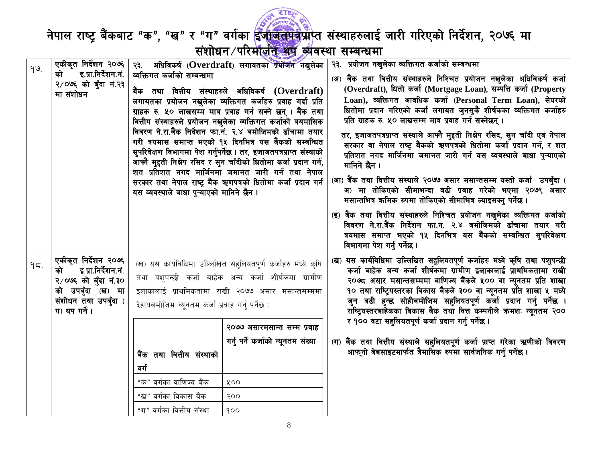

नेपाल राष्ट्र बैंकबाट "क", "ख" र "ग" वर्गका <mark>ईजाजतपत्र</mark>प्राप्त संस्थाहरुलाई जारी गरिएको निर्देशन, २०७६ मा<br>संशोधन परि<del>र्माज़ीत श्रेष्ठ व्यंपरा सम्बन्ध</del>मा

| 99. | एकीकृत निर्देशन २०७६  <br>इ.प्रा.निर्देशन.नं.<br>को                                                                                    | व्यक्तिगत कर्जाको सम्बन्धमा                                                                                                              | २३. अधिविकर्ष (Overdraft) लगायतका प्रयोजन नखुलेका                                                                                                                                                                                                                                                                                                                                                                                                                                                                                                                                                                                                             | २३. प्रयोजन नखुलेका व्यक्तिगत कर्जाको सम्बन्धमा                                                                                                                                                                                                                                                                                                                                                                                                                                                                                                                                                                                                                                                                                                                                                                                                                                                                                                                                                                                                         |
|-----|----------------------------------------------------------------------------------------------------------------------------------------|------------------------------------------------------------------------------------------------------------------------------------------|---------------------------------------------------------------------------------------------------------------------------------------------------------------------------------------------------------------------------------------------------------------------------------------------------------------------------------------------------------------------------------------------------------------------------------------------------------------------------------------------------------------------------------------------------------------------------------------------------------------------------------------------------------------|---------------------------------------------------------------------------------------------------------------------------------------------------------------------------------------------------------------------------------------------------------------------------------------------------------------------------------------------------------------------------------------------------------------------------------------------------------------------------------------------------------------------------------------------------------------------------------------------------------------------------------------------------------------------------------------------------------------------------------------------------------------------------------------------------------------------------------------------------------------------------------------------------------------------------------------------------------------------------------------------------------------------------------------------------------|
|     | २/०७६ को बुँदा नं.२३<br>मा संशोधन                                                                                                      | यस व्यवस्थाले बाधा पुऱ्याएको मानिने छैन ।                                                                                                | बैंक तथा वित्तीय संस्थाहरुले अधिविकर्ष ( $\bf{O}verdraff$ )<br>लगायतका प्रयोजन नखुलेका व्यक्तिगत कर्जाहरु प्रवाह गर्दा प्रति<br>ग्राहक रु. ५० लाखसम्म मात्र प्रवाह गर्न सक्ने छन् । बैंक तथा<br>वित्तीय संस्थाहरुले प्रयोजन नखुलेका व्यक्तिगत कर्जाको त्रयमासिक<br>विवरण ने.रा.बैंक निर्देशन फा.नं. २.४ बमोजिमको ढाँचामा तयार<br>गरी त्रयमास समाप्त भएको १५ दिनभित्र यस बैंकको सम्बन्धित<br>सुपरिवेक्षण विभागमा पेश गर्नुपर्नेछ । तर, इजाजतपत्रप्राप्त संस्थाको<br>आफ्नै मुद्दती निक्षेप रसिद र सुन चाँदीको धितोमा कर्जा प्रदान गर्न,<br>शत प्रतिशत नगद मार्जिनमा जमानत जारी गर्न तथा नेपाल<br>सरकार तथा नेपाल राष्ट्र बैंक ऋणपत्रको धितोमा कर्जा प्रदान गर्न | (अ) बैंक तथा वित्तीय संस्थाहरुले निश्चित प्रयोजन नखुलेका अधिविकर्ष कर्जा<br>(Overdraft), धितो कर्जा (Mortgage Loan), सम्पत्ति कर्जा (Property<br>Loan), व्यक्तिगत आवधिक कर्जा (Personal Term Loan), सेयरको<br>धितोमा प्रदान गरिएको कर्जा लगायत जुनसुकै शीर्षकका व्यक्तिगत कर्जाहरु<br>प्रति ग्राहक रु. ५० लाखसम्म मात्र प्रवाह गर्न सक्नेछन् ।<br>तर, इजाजतपत्रप्राप्त संस्थाले आफ्नै मुद्दती निक्षेप रसिद, सुन चाँदी एवं नेपाल<br>सरकार वा नेपाल राष्ट्र बैंकको ऋणपत्रको धितोमा कर्जा प्रदान गर्न, र शत<br>प्रतिशत नगद मार्जिनमा जमानत जारी गर्न यस व्यवस्थाले बाधा पुऱ्याएको<br>मानिने छैन ।<br>(आ) बैंक तथा वित्तीय संस्थाले २०७७ असार मसान्तसम्म यस्तो कर्जा  उपबुँदा (<br>अ) मा तोकिएको सीमाभन्दा बढी प्रवाह गरेको भएमा २०७९ असार<br>मसान्तभित्र कमिक रुपमा तोकिएको सीमाभित्र ल्याइसक्न् पर्नेछ ।<br>(इ) बैंक तथा वित्तीय संस्थाहरुले निश्चित प्रयोजन नखुलेका व्यक्तिगत कर्जाको<br>विवरण ने.रा.बैंक निर्देशन फा.नं. २.४ बमोजिमको ढाँचामा तयार गरी<br>त्रयमास समाप्त भएको १५ दिनभित्र यस बैंकको सम्बन्धित सुपरिवेक्षण<br>विभागमा पेश गर्नु पर्नेछ । |
| 95. | एकीकृत निर्देशन २०७६<br>इ.प्रा.निर्देशन.नं.<br>को<br>२/०७६ को बुँदा नं.३०<br>को उपबुँदा (ख) मा<br>संशोधन तथा उपबुँदा (<br>ग) थप गर्ने। | देहायबमोजिम न्यूनतम कर्जा प्रवाह गर्न् पर्नेछ :<br>बैंक तथा वित्तीय संस्थाको<br>वर्ग<br>"क" वर्गका वाणिज्य बैंक<br>"ख" वर्गका विकास बैंक | (ख) यस कार्यविधिमा उल्लिखित सहुलियतपूर्ण कर्जाहरु मध्ये कृषि<br>तथा पशुपन्छी कर्जा बाहेक अन्य कर्जा शीर्षकमा ग्रामीण<br>इलाकालाई प्राथमिकतामा राखी २०७७ असार मसान्तसम्ममा<br>२०७७ असारमसान्त सम्म प्रवाह<br>गर्नु पर्ने कर्जाको न्यूनतम संख्या<br>५००<br>२००                                                                                                                                                                                                                                                                                                                                                                                                  | (ख) यस कार्यविधिमा उल्लिखित सहुलियतपूर्ण कर्जाहरु मध्ये कृषि तथा पशुपन्छी<br>कर्जा बाहेक अन्य कर्जा शीर्षकमा ग्रामीण इलाकालाई प्राथमिकतामा राखी<br>२०७८ असार मसान्तसम्ममा वाणिज्य बैंकले ५०० वा न्यूनतम प्रति शाखा<br>१० तथा राष्ट्रियस्तरका विकास बैकले ३०० वा न्यूनतम प्रति शाखा ५ मध्ये<br>जुन बढी हुन्छ सोहीबमोजिम सहुलियतपूर्ण कर्जा प्रदान गर्नु पर्नेछ ।<br>राष्ट्रियस्तरबाहेकका विकास बैक तथा वित्त कम्पनीले क्रमशः न्यूनतम २००<br>र १०० वटा सहुलियतपूर्ण कर्जा प्रदान गर्नु पर्नेछ ।<br>(ग) बैंक तथा वित्तीय संस्थाले सहुलियतपूर्ण कर्जा प्राप्त गरेका ऋणीको विवरण<br>आफुनो वेबसाइटमार्फत त्रैमासिक रुपमा सार्वजनिक गर्नु पर्नेछ ।                                                                                                                                                                                                                                                                                                                                                                                                             |
|     |                                                                                                                                        | "ग" वर्गका वित्तीय संस्था                                                                                                                | 900                                                                                                                                                                                                                                                                                                                                                                                                                                                                                                                                                                                                                                                           |                                                                                                                                                                                                                                                                                                                                                                                                                                                                                                                                                                                                                                                                                                                                                                                                                                                                                                                                                                                                                                                         |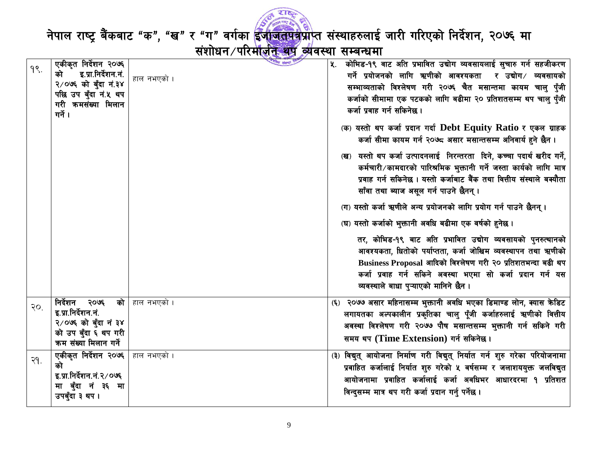

नेपाल राष्ट्र बैंकबाट "क", "ख" र "ग" वर्गका <mark>ईजाजतपत्र</mark>प्राप्त संस्थाहरुलाई जारी गरिएको निर्देशन, २०७६ मा<br>संशोधन परिमाज<del>़ीत अप व्</del>यवस्था सम्बन्धमा

| $9$ . | एकीकृत निर्देशन २०७६<br>इ.प्रा.निर्देशन.नं.<br>को<br>२/०७६ को बुँदा नं.३४<br>पछि उप बुँदा नं.५ थप           | लीय संस्था<br>हाल नभएको । | कोभिड-१९ वाट अति प्रभावित उद्योग व्यवसायलाई सुचारु गर्न सहजीकरण<br>K.<br>गर्ने प्रयोजनको लागि ऋणीको आवश्यकता र उद्योग/ व्यवसायको<br>सम्भाव्यताको विश्लेषण गरी २०७६ चैत मसान्तमा कायम चालु पुँजी                                                                                                      |
|-------|-------------------------------------------------------------------------------------------------------------|---------------------------|------------------------------------------------------------------------------------------------------------------------------------------------------------------------------------------------------------------------------------------------------------------------------------------------------|
|       | गरी कमसंख्या मिलान<br>गर्ने ।                                                                               |                           | कर्जाको सीमामा एक पटकको लागि बढीमा २० प्रतिशतसम्म थप चालु पुँजी<br>कर्जा प्रवाह गर्न सकिनेछ।                                                                                                                                                                                                         |
|       |                                                                                                             |                           | (क) यस्तो थप कर्जा प्रदान गर्दा Debt Equity Ratio र एकल ग्राहक<br>कर्जा सीमा कायम गर्न २०७८ असार मसान्तसम्म अनिवार्य हुने छैन ।                                                                                                                                                                      |
|       |                                                                                                             |                           | (ख) यस्तो थप कर्जा उत्पादनलाई निरन्तरता दिने, कच्चा पदार्थ खरीद गर्ने,<br>कर्मचारी/कामदारको पारिश्रमिक भुक्तानी गर्ने जस्ता कार्यको लागि मात्र<br>प्रवाह गर्न सकिनेछ । यस्तो कर्जाबाट बैंक तथा वित्तीय संस्थाले बक्यौता<br>साँवा तथा ब्याज असूल गर्न पाउने छैनन् ।                                   |
|       |                                                                                                             |                           | (ग) यस्तो कर्जा ऋणीले अन्य प्रयोजनको लागि प्रयोग गर्न पाउने छैनन् ।                                                                                                                                                                                                                                  |
|       |                                                                                                             |                           | (घ) यस्तो कर्जाको भुक्तानी अवधि बढीमा एक वर्षको हुनेछ ।                                                                                                                                                                                                                                              |
|       |                                                                                                             |                           | तर, कोभिड-१९ बाट अति प्रभावित उद्योग व्यवसायको पुनरुत्थानको<br>आवश्यकता, धितोको पर्याप्तता, कर्जा जोखिम व्यवस्थापन तथा ऋणीको<br>Business Proposal आदिको विश्लेषण गरी २० प्रतिशतभन्दा बढी थप<br>कर्जा प्रवाह गर्न सकिने अवस्था भएमा सो कर्जा प्रदान गर्न यस<br>व्यवस्थाले बाधा पुऱ्याएको मानिने छैन । |
| 30.   | निर्देशन २०७६<br>इ.प्रा.निर्देशन.नं.                                                                        | <b>को</b> हाल नभएको ।     | (६) २०७७ असार महिनासम्म भुक्तानी अवधि भएका डिमाण्ड लोन, क्यास केडिट                                                                                                                                                                                                                                  |
|       | २/०७६ को बुँदा नं ३४                                                                                        |                           | लगायतका अल्पकालीन प्रकृतिका चालु पूँजी कर्जाहरुलाई ऋणीको वित्तीय<br>अवस्था विश्लेषण गरी २०७७ पौष मसान्तसम्म भुक्तानी गर्न सकिने गरी                                                                                                                                                                  |
|       | को उप बुँदा ६ थप गरी<br>कम संख्या मिलान गर्ने                                                               |                           | समय थप (Time Extension) गर्न सकिनेछ।                                                                                                                                                                                                                                                                 |
| २१.   | एकीकृत निर्देशन २०७६   हाल नभएको ।<br>को<br>इ.प्रा.निर्देशन.नं.२/०७६<br>मा बुँदा नं ३६ मा<br>उपबुँदा ३ थप । |                           | (३) विद्युत् आयोजना निर्माण गरी विद्युत् निर्यात गर्न शुरु गरेका परियोजनामा<br>प्रवाहित कर्जालाई निर्यात शुरु गरेको ५ वर्षसम्म र जलाशययुक्त जलविद्युत<br>आयोजनामा प्रवाहित कर्जालाई कर्जा अवधिभर आधारदरमा १ प्रतिशत<br>विन्दुसम्म मात्र थप गरी कर्जा प्रदान गर्नु पर्नेछ ।                           |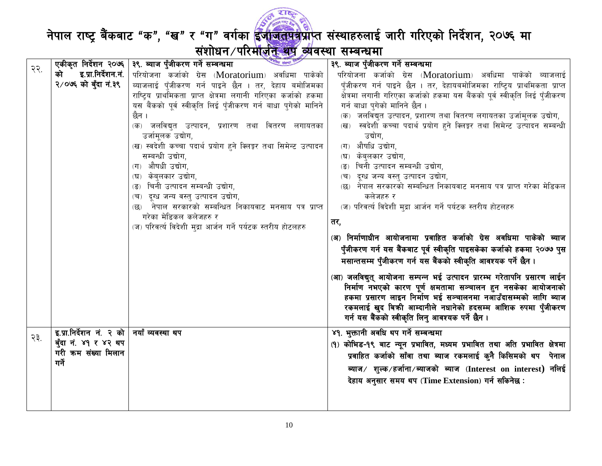

|     |                                             | स्मीय संस्था<br>एकीकृत निर्देशन २०७६   ३९. ब्याज पुँजीकरण गर्ने सम्बन्धमा | ३९. ब्याज पुँजीकरण गर्ने सम्बन्धमा                                            |
|-----|---------------------------------------------|---------------------------------------------------------------------------|-------------------------------------------------------------------------------|
| २२. | इ.प्रा.निर्देशन.नं.  <br>को                 | परियोजना कर्जाको ग्रेस (Moratorium) अवधिमा पाकेको                         | परियोजना कर्जाको ग्रेस (Moratorium) अवधिमा पाकेको ब्याजलाई                    |
|     | २/०७६ को बुँदा नं.३९                        | ब्याजलाई पुँजीकरण गर्न पाइने छैन । तर, देहाय बमोजिमका                     | पुँजीकरण गर्न पाइने छैन । तर, देहायबमोजिमका राष्ट्रिय प्राथमिकता प्राप्त      |
|     |                                             | राष्ट्रिय प्राथमिकता प्राप्त क्षेत्रमा लगानी गरिएका कर्जाको हकमा          | क्षेत्रमा लगानी गरिएका कर्जाको हकमा यस बैंकको पूर्व स्वीकृति लिई पुँजीकरण     |
|     |                                             | यस बैंकको पूर्व स्वीकृति लिई पुँजीकरण गर्न बाधा पुगेको मानिने             | गर्न बाधा पुगेको मानिने छैन ।                                                 |
|     |                                             | छैन ।                                                                     | (क) जलविद्युत उत्पादन, प्रशारण तथा वितरण लगायतका उर्जामूलक उद्योग,            |
|     |                                             | (क) जलविद्युत उत्पादन, प्रशारण तथा वितरण लगायतका                          | स्वदेशी कच्चा पदार्थ प्रयोग हुने क्लिङ्कर तथा सिमेन्ट उत्पादन सम्बन्धी<br>(ख) |
|     |                                             | उर्जामूलक उद्योग,                                                         | उद्योग,                                                                       |
|     |                                             | (ख) स्वदेशी कच्चा पदार्थ प्रयोग हुने क्लिङ्कर तथा सिमेन्ट उत्पादन         | (ग) औषधि उद्योग,                                                              |
|     |                                             | सम्बन्धी उद्योग,<br>(ग) औषधी उद्योग,                                      | (घ) केब्लकार उद्योग,                                                          |
|     |                                             | (घ) केबुलकार उद्योग,                                                      | चिनी उत्पादन सम्बन्धी उद्योग,<br>दूग्ध जन्य वस्तु उत्पादन उद्योग,<br>(च)      |
|     |                                             | चिनी उत्पादन सम्बन्धी उद्योग,                                             | नेपाल सरकारको सम्बन्धित निकायवाट मनसाय पत्र प्राप्त गरेका मेडिकल<br>(छ)       |
|     |                                             | (च) दृग्ध जन्य वस्तु उत्पादन उद्योग,                                      | कलेजहरु र                                                                     |
|     |                                             | नेपाल सरकारको सम्बन्धित निकायवाट मनसाय पत्र प्राप्त                       | (ज) परिवर्त्य विदेशी मुद्रा आर्जन गर्ने पर्यटक स्तरीय होटलहरु                 |
|     |                                             | गरेका मेडिकल कलेजहरु र                                                    |                                                                               |
|     |                                             | (ज) परिवर्त्य विदेशी मुद्रा आर्जन गर्ने पर्यटक स्तरीय होटलहरु             | तर,                                                                           |
|     |                                             |                                                                           | (अ) निर्माणाधीन आयोजनामा प्रवाहित कर्जाको ग्रेस अवधिमा पाकेको ब्याज           |
|     |                                             |                                                                           | पुँजीकरण गर्न यस बैंकबाट पूर्व स्वीकृति पाइसकेका कर्जाको हकमा २०७७ पुस        |
|     |                                             |                                                                           | मसान्तसम्म पुँजीकरण गर्न यस बैंकको स्वीकृति आवश्यक पर्ने छैन ।                |
|     |                                             |                                                                           | (आ) जलविद्युत् आयोजना सम्पन्न भई उत्पादन प्रारम्भ गरेतापनि प्रसारण लाईन       |
|     |                                             |                                                                           | निर्माण नभएको कारण पूर्ण क्षमतामा सञ्चालन हुन नसकेका आयोजनाको                 |
|     |                                             |                                                                           | हकमा प्रसारण लाइन निर्माण भई सञ्चालनमा नआउँदासम्मको लागि ब्याज                |
|     |                                             |                                                                           | रकमलाई खुद बिक्री आम्दानीले नधानेको हदसम्म आंशिक रुपमा पुँजीकरण               |
|     |                                             |                                                                           | गर्न यस बैंकको स्वीकृति लिनु आवश्यक पर्ने छैन ।                               |
| २३. | इ.प्रा.निर्देशन नं. २ को   नयाँ व्यवस्था थप |                                                                           | ४१. भुक्तानी अवधि थप गर्ने सम्बन्धमा                                          |
|     | बुँदा नं. ४१ र ४२ थप                        |                                                                           | (१) कोभिड-१९ बाट न्यून प्रभावित, मध्यम प्रभावित तथा अति प्रभावित क्षेत्रमा    |
|     | गरी कम संख्या मिलान                         |                                                                           | प्रवाहित कर्जाको साँवा तथा ब्याज रकमलाई कुनै किसिमको थप  पेनाल                |
|     | गर्ने                                       |                                                                           | ब्याज ⁄शुल्क ∕ हर्जाना ⁄ ब्याजको  ब्याज  (Interest  on  interest)  नलिई       |
|     |                                             |                                                                           | देहाय अनुसार समय थप (Time Extension) गर्न सकिनेछ:                             |
|     |                                             |                                                                           |                                                                               |
|     |                                             |                                                                           |                                                                               |
|     |                                             |                                                                           |                                                                               |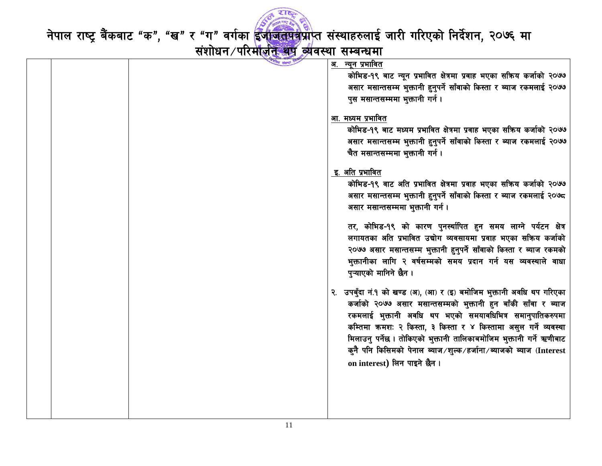

|  | <u>अ. न्यून प्र</u> भावित                                             |
|--|-----------------------------------------------------------------------|
|  | कोभिड-१९ बाट न्यून प्रभावित क्षेत्रमा प्रवाह भएका सक्रिय कर्जाको २०७७ |
|  | असार मसान्तसम्म भुक्तानी हुनुपर्ने साँवाको किस्ता र ब्याज रकमलाई २०७७ |
|  | पुस मसान्तसम्ममा भुक्तानी गर्न।                                       |
|  |                                                                       |
|  | आ. मध्यम प्रभावित                                                     |
|  | कोभिड-१९ बाट मध्यम प्रभावित क्षेत्रमा प्रवाह भएका सक्रिय कर्जाको २०७७ |
|  | असार मसान्तसम्म भुक्तानी हुनुपर्ने साँवाको किस्ता र ब्याज रकमलाई २०७७ |
|  | चैत मसान्तसम्ममा भुक्तानी गर्न ।                                      |
|  |                                                                       |
|  | इ. अति प्रभावित                                                       |
|  | कोभिड-१९ वाट अति प्रभावित क्षेत्रमा प्रवाह भएका सक्रिय कर्जाको २०७७   |
|  | असार मसान्तसम्म भुक्तानी हुनुपर्ने साँवाको किस्ता र ब्याज रकमलाई २०७८ |
|  | असार मसान्तसम्ममा भुक्तानी गर्न ।                                     |
|  |                                                                       |
|  | तर, कोभिड-१९ को कारण पुनर्स्थापित हुन समय लाग्ने पर्यटन क्षेत्र       |
|  | लगायतका अति प्रभावित उद्योग व्यवसायमा प्रवाह भएका सक्रिय कर्जाको      |
|  | २०७७ असार मसान्तसम्म भुक्तानी हुनुपर्ने साँवाको किस्ता र ब्याज रकमको  |
|  | भुक्तानीका लागि २ वर्षसम्मको समय प्रदान गर्न यस व्यवस्थाले वाधा       |
|  | पुऱ्याएको मानिने छैन ।                                                |
|  |                                                                       |
|  | उपबुँदा नं.१ को खण्ड (अ), (आ) र (इ) बमोजिम भुक्तानी अवधि थप गरिएका    |
|  | कर्जाको २०७७ असार मसान्तसम्मको भुक्तानी हुन बाँकी साँवा र ब्याज       |
|  | रकमलाई भुक्तानी अवधि थप भएको समयावधिभित्र समानुपातिकरुपमा             |
|  | कम्तिमा क्रमशः २ किस्ता, ३ किस्ता र ४ किस्तामा असुल गर्ने व्यवस्था    |
|  | मिलाउनु पर्नेछ । तोकिएको भुक्तानी तालिकाबमोजिम भुक्तानी गर्ने ऋणीबाट  |
|  | कुनै पनि किसिमको पेनाल ब्याज⁄शुल्क⁄हर्जाना⁄ब्याजको ब्याज (Interest    |
|  |                                                                       |
|  | on interest) लिन पाइने छैन।                                           |
|  |                                                                       |
|  |                                                                       |
|  |                                                                       |
|  |                                                                       |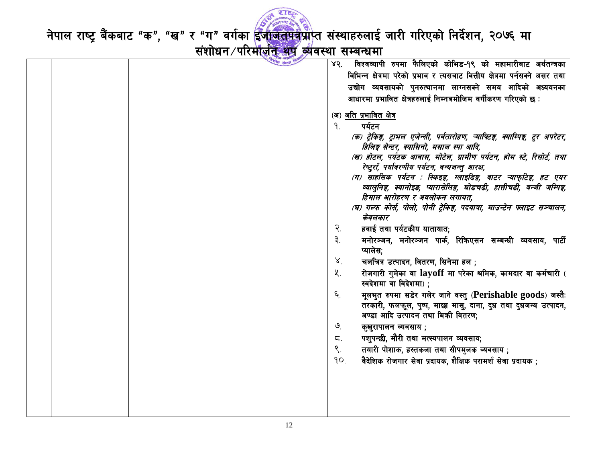

|  | विश्वव्यापी रुपमा फैलिएको कोभिड-१९ को महामारीबाट अर्थतन्त्रका<br>४२.             |
|--|----------------------------------------------------------------------------------|
|  | विभिन्न क्षेत्रमा परेको प्रभाव र त्यसबाट वित्तीय क्षेत्रमा पर्नसक्ने असर तथा     |
|  | उद्योग व्यवसायको पुनरुत्थानमा लाग्नसक्ने समय आदिको अध्ययनका                      |
|  | आधारमा प्रभावित क्षेत्रहरुलाई निम्नबमोजिम वर्गीकरण गरिएको छ :                    |
|  |                                                                                  |
|  | (अ) अति प्रभावित क्षेत्र                                                         |
|  | पर्यटन<br>9.                                                                     |
|  | (क) ट्रेकिङ्ग, ट्राभल एजेन्सी, पर्वतारोहण, ऱ्याफ्टिङ्ग, क्याम्पिङ्ग, टुर अपरेटर, |
|  | हिलिङ्ग सेन्टर, क्यासिनो, मसाज स्पा आदि,                                         |
|  | (ख) होटल, पर्यटक आवास, मोटेल, ग्रामीण पर्यटन, होम स्टे, रिसोर्ट, तथा             |
|  | रेष्टुराँ, पर्यावरणीय पर्यटन, वन्यजन्तु आरक्ष,                                   |
|  | (ग) साहसिक पर्यटन : स्किइङ्ग, ग्लाइडिङ्ग, वाटर ऱ्याफ्टिङ्ग, हट एयर               |
|  | व्यालुनिङ्ग, क्यानोइड, प्यारासेलिङ्ग, घोडचढी, हात्तीचढी, बन्जी जम्पिङ्ग,         |
|  | हिमाल आरोहरण र अवलोकन लगायत,                                                     |
|  | (घ) गल्फ कोर्स, पोलो, पोनी ट्रेकिङ्ग, पदयात्रा, माउन्टेन फ्लाइट सञ्चालन,         |
|  | केवलकार                                                                          |
|  | हवाई तथा पर्यटकीय यातायात;<br>२.                                                 |
|  | ३.<br>मनोरञ्जन, मनोरञ्जन पार्क, रिकिएसन सम्बन्धी व्यवसाय, पार्टी                 |
|  | प्यालेस:                                                                         |
|  | $8^{1}$<br>चलचित्र उत्पादन, वितरण, सिनेमा हल ;                                   |
|  | रोजगारी गुमेका वा layoff मा परेका श्रमिक, कामदार वा कर्मचारी (<br>$\lambda$ .    |
|  | स्वदेशमा वा विदेशमा) ;                                                           |
|  | ६.<br>मूलभुत रुपमा सडेर गलेर जाने वस्तु (Perishable goods) जस्तैः                |
|  | तरकारी, फलफूल, पुष्प, माछ्य मासु, दाना, दुध तथा दुधजन्य उत्पादन,                 |
|  | अण्डा आदि उत्पादन तथा बिक्री वितरण;                                              |
|  | $\mathcal{Q}_{\cdot}$<br>कुखुरापालन व्यवसाय ;                                    |
|  | पशुपन्छी, मौरी तथा मत्स्यपालन व्यवसाय;<br>ζ.                                     |
|  | $\mathcal{S}_{\cdot}$<br>तयारी पोशाक, हस्तकला तथा सीपमुलक व्यवसाय;               |
|  | 90.                                                                              |
|  | वैदेशिक रोजगार सेवा प्रदायक, शैक्षिक परामर्श सेवा प्रदायक ;                      |
|  |                                                                                  |
|  |                                                                                  |
|  |                                                                                  |
|  |                                                                                  |
|  |                                                                                  |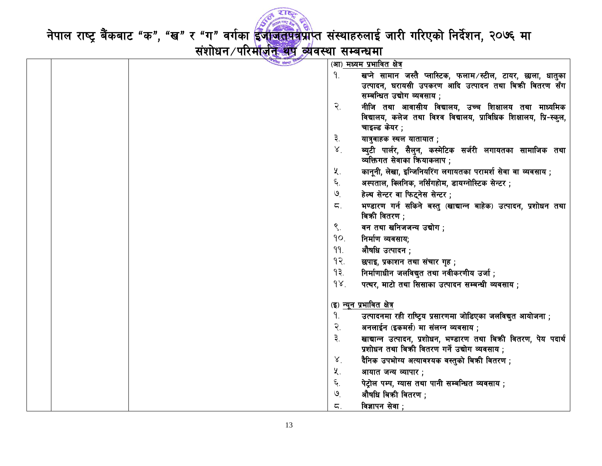

|  | गिय संस्था |                             |                                                                                          |
|--|------------|-----------------------------|------------------------------------------------------------------------------------------|
|  |            |                             | (आ) मध्यम प्रभावित क्षेत्र                                                               |
|  |            | 9.                          | खप्ने सामान जस्तै प्लास्टिक, फलाम∕स्टील, टायर, छाला, धातुका                              |
|  |            |                             | उत्पादन, घरायसी उपकरण आदि उत्पादन तथा बिकी वितरण सँग                                     |
|  |            |                             | सम्बन्धित उद्योग व्यवसाय ;                                                               |
|  |            | $\widetilde{\mathcal{R}}$ . | नीजि तथा आवासीय विद्यालय, उच्च शिक्षालय तथा माध्यमिक                                     |
|  |            |                             | विद्यालय, कलेज तथा विश्व विद्यालय, प्राविधिक शिक्षालय, प्रि-स्कूल,                       |
|  |            |                             | चाइल्ड केयर ;                                                                            |
|  |            | ३.                          | यात्रुवाहक स्थल यातायात ;                                                                |
|  |            | 8 <sup>7</sup>              | ब्युटी पार्लर, सैलुन, कस्मेटिक सर्जरी लगायतका सामाजिक तथा<br>व्यक्तिगत सेवाका कियाकलाप ; |
|  |            | ५.                          | कानूनी, लेखा, इन्जिनियरिंग लगायतका परामर्श सेवा वा व्यवसाय ;                             |
|  |            | ६.                          | अस्पताल, क्लिनिक, नर्सिंगहोम, डायग्नोस्टिक सेन्टर ;                                      |
|  |            | $\mathcal{Q}$               | हेल्थ सेन्टर वा फिट्नेस सेन्टर;                                                          |
|  |            | ζ.                          | भण्डारण गर्न सकिने बस्तु (खाद्यान्न बाहेक) उत्पादन, प्रशोधन तथा<br>बिक्री वितरण ;        |
|  |            | $\mathcal{S}_{\cdot}$       | वन तथा खनिजजन्य उद्योग ;                                                                 |
|  |            | 90.                         | निर्माण व्यवसाय;                                                                         |
|  |            | 99.                         | औषधि उत्पादन ;                                                                           |
|  |            | 9                           | छपाइ, प्रकाशन तथा संचार गृह;                                                             |
|  |            | 93.                         | निर्माणाधीन जलविद्युत तथा नवीकरणीय उर्जा ;                                               |
|  |            | 98.                         | पत्थर, माटो तथा सिसाका उत्पादन सम्बन्धी व्यवसाय ;                                        |
|  |            |                             | <u>(इ) न्यून प्रभावित क्षेत्र</u>                                                        |
|  |            | 9.                          | उत्पादनमा रही राष्ट्रिय प्रसारणमा जोडिएका जलविद्युत आयोजना ;                             |
|  |            | २.                          | अनलाईन (इकमर्स) मा संलग्न व्यवसाय ;                                                      |
|  |            | ३.                          | खाद्यान्न उत्पादन, प्रशोधन, भण्डारण तथा बिक्री वितरण, पेय पदार्थ                         |
|  |            |                             | प्रशोधन तथा बिकी वितरण गर्ने उद्योग व्यवसाय ;                                            |
|  |            | X                           | दैनिक उपभोग्य अत्यावश्यक वस्तुको बिक्री वितरण ;                                          |
|  |            | ५.                          | आयात जन्य व्यापार;                                                                       |
|  |            | ٤.                          | पेट्रोल पम्प, ग्यास तथा पानी सम्बन्धित व्यवसाय ;                                         |
|  |            | $\mathcal{O}$               | औषधि बिक्री वितरण ;                                                                      |
|  |            | ζ.                          | विज्ञापन सेवा ;                                                                          |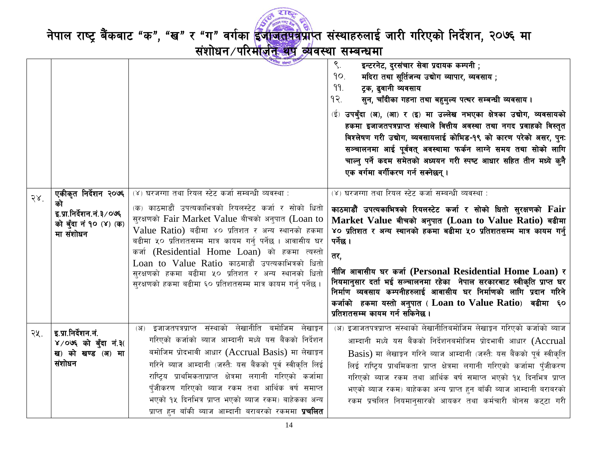

|              |                                                                               | यि संस्था                                                                                                                                                                                                                                                                                                                                                                                                                                                                 | $\mathcal{S}$ .<br>इन्टरनेट, दुरसंचार सेवा प्रदायक कम्पनी ;<br>मदिरा तथा सूर्तिजन्य उद्योग व्यापार, व्यवसाय ;<br>90.<br>99.<br>ट्रक, ढुवानी व्यवसाय<br>१२.<br>सुन, चाँदीका गहना तथा बहुमुल्य पत्थर सम्बन्धी व्यवसाय।<br>(ई) उपबुँदा (अ), (आ) र (इ) मा उल्लेख नभएका क्षेत्रका उद्योग, व्यवसायको<br>हकमा इजाजतपत्रप्राप्त संस्थाले वित्तीय अवस्था तथा नगद प्रवाहको विस्तुत<br>विश्लेषण गरी उद्योग, व्यवसायलाई कोभिड-१९ को कारण परेको असर, पुनः<br>सञ्चालनमा आई पूर्ववत् अवस्थामा फर्कन लाग्ने समय तथा सोको लागि<br>चाल्नु पर्ने कदम समेतको अध्ययन गरी स्पष्ट आधार सहित तीन मध्ये कुनै<br>एक वर्गमा वर्गीकरण गर्न सक्नेछन् । |
|--------------|-------------------------------------------------------------------------------|---------------------------------------------------------------------------------------------------------------------------------------------------------------------------------------------------------------------------------------------------------------------------------------------------------------------------------------------------------------------------------------------------------------------------------------------------------------------------|---------------------------------------------------------------------------------------------------------------------------------------------------------------------------------------------------------------------------------------------------------------------------------------------------------------------------------------------------------------------------------------------------------------------------------------------------------------------------------------------------------------------------------------------------------------------------------------------------------------------------|
|              | एकीकृत निर्देशन २०७६                                                          | (४) घरजग्गा तथा रियल स्टेट कर्जा सम्बन्धी व्यवस्था :                                                                                                                                                                                                                                                                                                                                                                                                                      | (४) घरजग्गा तथा रियल स्टेट कर्जा सम्बन्धी व्यवस्था :                                                                                                                                                                                                                                                                                                                                                                                                                                                                                                                                                                      |
| $58^{\circ}$ | को<br>इ.प्रा.निर्देशन.नं.३/०७६<br>को बुँदा नं १० (४) (क)<br>मा संशोधन         | (क) काठमाडौं उपत्यकाभित्रको रियलस्टेट कर्जा र सोको धितो<br>सुरक्षणको Fair Market Value बीचको अनुपात (Loan to<br>Value Ratio) बढीमा ४० प्रतिशत र अन्य स्थानको हकमा<br>बढीमा ५० प्रतिशतसम्म मात्र कायम गर्नु पर्नेछ । आवासीय घर<br>कर्जा (Residential Home Loan) को हकमा त्यस्तो<br>Loan to Value Ratio काठमाडौं उपत्यकाभित्रको धितो<br>सुरक्षणको हकमा बढीमा ५० प्रतिशत र अन्य स्थानको धितो<br>सुरक्षणको हकमा बढीमा ६० प्रतिशतसम्म मात्र कायम गर्नु पर्नेछ ।                | काठमाडौँ उपत्यकाभित्रको रियलस्टेट कर्जा र सोको धितो सुरक्षणको Fair<br>Market Value बीचको अनुपात (Loan to Value Ratio) बढीमा<br>४० प्रतिशत र अन्य स्थानको हकमा बढीमा ५० प्रतिशतसम्म मात्र कायम गर्नु<br>पर्नेछ ।<br>तर,<br>नीजि आवासीय घर कर्जा (Personal Residential Home Loan) र<br>नियमानुसार दर्ता भई सञ्चालनमा रहेका  नेपाल सरकारबाट स्वीकृति प्राप्त घर<br>निर्माण व्यवसाय कम्पनीहरुलाई आवासीय घर निर्माणको लागि प्रदान गरिने<br>कर्जाको हकमा यस्तो अनुपात ( $\bf{Loan}$ to $\bf{Value~Ratio}$ ) बढीमा ६०<br>प्रतिशतसम्म कायम गर्न सकिनेछ ।                                                                          |
| २५.          | इ.प्रा.निर्देशन.नं.<br>$V/O$ ७६ को बुँदा नं.३(<br>ख) को खण्ड (अ) मा<br>संशोधन | (अ) इजाजतपत्रप्राप्त संस्थाको लेखानीति बमोजिम लेखाङ्कन<br>गरिएको कर्जाको ब्याज आम्दानी मध्ये यस बैंकको निर्देशन<br>बमोजिम प्रोदभावी आधार (Accrual Basis) मा लेखाइन<br>गरिने ब्याज आम्दानी (जस्तै: यस बैंकको पूर्व स्वीकृति लिई<br>राष्ट्रिय प्राथमिकताप्राप्त क्षेत्रमा लगानी गरिएको कर्जामा<br>पुँजीकरण गरिएको ब्याज रकम तथा आर्थिक वर्ष समाप्त<br>भएको १५ दिनभित्र प्राप्त भएको ब्याज रकम) बाहेकका अन्य<br>प्राप्त हुन बाँकी ब्याज आम्दानी बराबरको रकममा <b>प्रचलित</b> | (अ) इजाजतपत्रप्राप्त संस्थाको लेखानीतिबमोजिम लेखाङ्कन गरिएको कर्जाको ब्याज<br>आम्दानी मध्ये यस बैंकको निर्देशनबमोजिम प्रोदभावी आधार (Accrual<br>Basis) मा लेखाङून गरिने ब्याज आम्दानी (जस्तै: यस बैंकको पूर्व स्वीकृति<br>लिई राष्ट्रिय प्राथमिकता प्राप्त क्षेत्रमा लगानी गरिएको कर्जामा पँजीकरण<br>गरिएको ब्याज रकम तथा आर्थिक वर्ष समाप्त भएको १५ दिनभित्र प्राप्त<br>भएको ब्याज रकम) बाहेकका अन्य प्राप्त हुन बाँकी ब्याज आम्दानी बराबरको<br>रकम प्रचलित नियमानुसारको आयकर तथा कर्मचारी बोनस कट्टा गरी                                                                                                                |
|              |                                                                               |                                                                                                                                                                                                                                                                                                                                                                                                                                                                           |                                                                                                                                                                                                                                                                                                                                                                                                                                                                                                                                                                                                                           |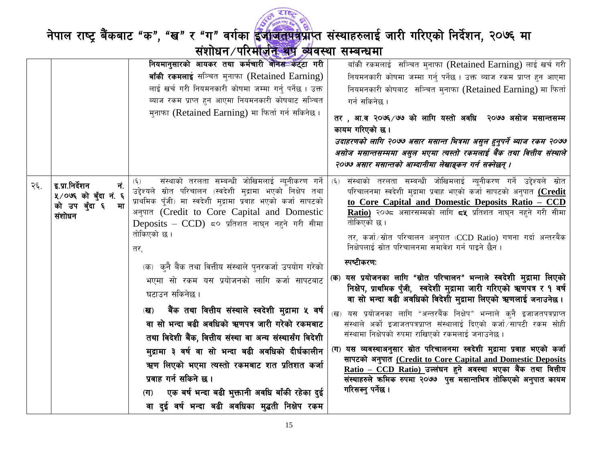

|     |                                                                                 | नियमानुसारको आयकर तथा कर्मचारी बोनस <b>ंक</b> ट्टा गरी                                                                                                                                                                                                                                                                                                                                                                                                                                                                                                                                                                                                                                                                                                                                                             | बाँकी रकमलाई सञ्चित मुनाफा (Retained Earning) लाई खर्च गरी                                                                                                                                                                                                                                                                                                                                                                                                                                                                                                                                                                                                                                                                                                                                                                                                                                                                                                                                                                                                                                                                                                        |
|-----|---------------------------------------------------------------------------------|--------------------------------------------------------------------------------------------------------------------------------------------------------------------------------------------------------------------------------------------------------------------------------------------------------------------------------------------------------------------------------------------------------------------------------------------------------------------------------------------------------------------------------------------------------------------------------------------------------------------------------------------------------------------------------------------------------------------------------------------------------------------------------------------------------------------|-------------------------------------------------------------------------------------------------------------------------------------------------------------------------------------------------------------------------------------------------------------------------------------------------------------------------------------------------------------------------------------------------------------------------------------------------------------------------------------------------------------------------------------------------------------------------------------------------------------------------------------------------------------------------------------------------------------------------------------------------------------------------------------------------------------------------------------------------------------------------------------------------------------------------------------------------------------------------------------------------------------------------------------------------------------------------------------------------------------------------------------------------------------------|
|     |                                                                                 | बाँकी रकमलाई सञ्चित मुनाफा (Retained Earning)                                                                                                                                                                                                                                                                                                                                                                                                                                                                                                                                                                                                                                                                                                                                                                      | नियमनकारी कोषमा जम्मा गर्नु पर्नेछ । उक्त ब्याज रकम प्राप्त हुन आएमा                                                                                                                                                                                                                                                                                                                                                                                                                                                                                                                                                                                                                                                                                                                                                                                                                                                                                                                                                                                                                                                                                              |
|     |                                                                                 | लाई खर्च गरी नियमनकारी कोषमा जम्मा गर्नु पर्नेछ । उक्त                                                                                                                                                                                                                                                                                                                                                                                                                                                                                                                                                                                                                                                                                                                                                             | नियमनकारी कोषबाट सञ्चित मुनाफा (Retained Earning) मा फिर्ता                                                                                                                                                                                                                                                                                                                                                                                                                                                                                                                                                                                                                                                                                                                                                                                                                                                                                                                                                                                                                                                                                                       |
|     |                                                                                 | ब्याज रकम प्राप्त हुन आएमा नियमनकारी कोषबाट सञ्चित                                                                                                                                                                                                                                                                                                                                                                                                                                                                                                                                                                                                                                                                                                                                                                 | गर्न सकिनेछ ।                                                                                                                                                                                                                                                                                                                                                                                                                                                                                                                                                                                                                                                                                                                                                                                                                                                                                                                                                                                                                                                                                                                                                     |
|     |                                                                                 | मुनाफा (Retained Earning) मा फिर्ता गर्न सकिनेछ।                                                                                                                                                                                                                                                                                                                                                                                                                                                                                                                                                                                                                                                                                                                                                                   | तर , आ.व २०७६ /७७ को लागि यस्तो अवधि  २०७७ असोज मसान्तसम्म                                                                                                                                                                                                                                                                                                                                                                                                                                                                                                                                                                                                                                                                                                                                                                                                                                                                                                                                                                                                                                                                                                        |
|     |                                                                                 |                                                                                                                                                                                                                                                                                                                                                                                                                                                                                                                                                                                                                                                                                                                                                                                                                    | कायम गरिएको छ।                                                                                                                                                                                                                                                                                                                                                                                                                                                                                                                                                                                                                                                                                                                                                                                                                                                                                                                                                                                                                                                                                                                                                    |
|     |                                                                                 |                                                                                                                                                                                                                                                                                                                                                                                                                                                                                                                                                                                                                                                                                                                                                                                                                    | उदाहरणको लागि २०७७ असार मसान्त भित्रमा असुल हुनुपर्ने ब्याज रकम २०७७                                                                                                                                                                                                                                                                                                                                                                                                                                                                                                                                                                                                                                                                                                                                                                                                                                                                                                                                                                                                                                                                                              |
|     |                                                                                 |                                                                                                                                                                                                                                                                                                                                                                                                                                                                                                                                                                                                                                                                                                                                                                                                                    | असोज मसान्तसम्ममा असुल भएमा त्यस्तो रकमलाई बैंक तथा वित्तीय संस्थाले                                                                                                                                                                                                                                                                                                                                                                                                                                                                                                                                                                                                                                                                                                                                                                                                                                                                                                                                                                                                                                                                                              |
|     |                                                                                 |                                                                                                                                                                                                                                                                                                                                                                                                                                                                                                                                                                                                                                                                                                                                                                                                                    | २०७७ असार मसान्तको आम्दानीमा लेखाङ्कन गर्न सक्नेछन् ।                                                                                                                                                                                                                                                                                                                                                                                                                                                                                                                                                                                                                                                                                                                                                                                                                                                                                                                                                                                                                                                                                                             |
| २६. | इ.प्रा.निर्देशन<br>नं.<br>५/०७६ को बुँदा नं. ६<br>को उप बुँदा ६<br>मा<br>संशोधन | संस्थाको तरलता सम्बन्धी जोखिमलाई न्यूनीकरण गर्ने<br>$(\xi)$<br>उद्देश्यले स्रोत परिचालन (स्वदेशी मुद्रामा भएको निक्षेप तथा<br>प्राथमिक पुँजी) मा स्वदेशी मुद्रामा प्रवाह भएको कर्जा सापटको<br>अनुपात (Credit to Core Capital and Domestic<br>Deposits - CCD) ८० प्रतिशत नाघन नहुने गरी सीमा<br>तोकिएको छ ।<br>तर,<br>(क) कुनै बैंक तथा वित्तीय संस्थाले पुनरकर्जा उपयोग गरेको<br>भएमा सो रकम यस प्रयोजनको लागि कर्जा सापटबाट<br>घटाउन सकिनेछ ।<br>बैंक तथा वित्तीय संस्थाले स्वदेशी मुद्रामा ५ वर्ष<br>(ख)<br>वा सो भन्दा बढी अवधिको ऋणपत्र जारी गरेको रकमबाट<br>तथा विदेशी बैंक, वित्तीय संस्था वा अन्य संस्थासँग विदेशी<br>मुद्रामा ३ वर्ष वा सो भन्दा बढी अवधिको दीर्घकालीन<br>ऋण लिएको भएमा त्यस्तो रकमबाट शत प्रतिशत कर्जा<br>प्रवाह गर्न सकिने छ ।<br>एक बर्ष भन्दा बढी भुक्तानी अवधि बाँकी रहेका दुई<br>(T) | संस्थाको तरलता सम्बन्धी जोखिमलाई न्यूनीकरण गर्ने उद्देश्यले स्रोत<br>$(\xi)$<br>परिचालनमा स्वदेशी मुद्रामा प्रवाह भएको कर्जा सापटको अनुपात (Credit<br>to Core Capital and Domestic Deposits Ratio - CCD<br>Ratio) २०७८ असारसम्मको लागि ८५ प्रतिशत नाघन नहने गरी सीमा<br>तोकिएको छ।<br>तर, कर्जा ∕स्रोत परिचालन अनुपात (CCD Ratio) गणना गर्दा अन्तरबैंक<br>निक्षेपलाई स्रोत परिचालनमा समावेश गर्न पाइने छैन ।<br>स्पष्टीकरणः<br>(क) यस प्रयोजनका लागि "स्रोत परिचालन" भन्नाले स्वदेशी मुद्रामा लिएको<br>निक्षेप, प्राथमिक पुँजी, स्वदेशी मुद्रामा जारी गरिएको ऋणपत्र र १ वर्ष<br>वा सो भन्दा बढी अवधिको विदेशी मुद्रामा लिएको ऋणलाई जनाउनेछ ।<br>(ख) यस प्रयोजनका लागि "अन्तरबैंक निक्षेप" भन्नाले कुनै इजाजतपत्रप्राप्त<br>संस्थाले अर्को इजाजतपत्रप्राप्त संस्थालाई दिएको कर्जा/सापटी रकम सोही<br>संस्थामा निक्षेपको रुपमा राखिएको रकमलाई जनाउनेछ ।<br>(ग) यस व्यवस्थाअनुसार स्रोत परिचालनमा स्वदेशी मुद्रामा प्रवाह भएको कर्जा<br>सापटको अनुपात (Credit to Core Capital and Domestic Deposits<br><u> Ratio – CCD Ratio) उ</u> ल्लंघन हुने अवस्था भएका बैंक तथा वित्तीय<br>संस्थाहरुले कमिक रुपमा २०७७  पुस मसान्तभित्र तोकिएको अनुपात कायम<br>गरिसक्नु पर्नेछ । |
|     |                                                                                 |                                                                                                                                                                                                                                                                                                                                                                                                                                                                                                                                                                                                                                                                                                                                                                                                                    |                                                                                                                                                                                                                                                                                                                                                                                                                                                                                                                                                                                                                                                                                                                                                                                                                                                                                                                                                                                                                                                                                                                                                                   |
|     |                                                                                 | वा दुई वर्ष भन्दा बढी अवधिका मुद्धती निक्षेप रकम                                                                                                                                                                                                                                                                                                                                                                                                                                                                                                                                                                                                                                                                                                                                                                   |                                                                                                                                                                                                                                                                                                                                                                                                                                                                                                                                                                                                                                                                                                                                                                                                                                                                                                                                                                                                                                                                                                                                                                   |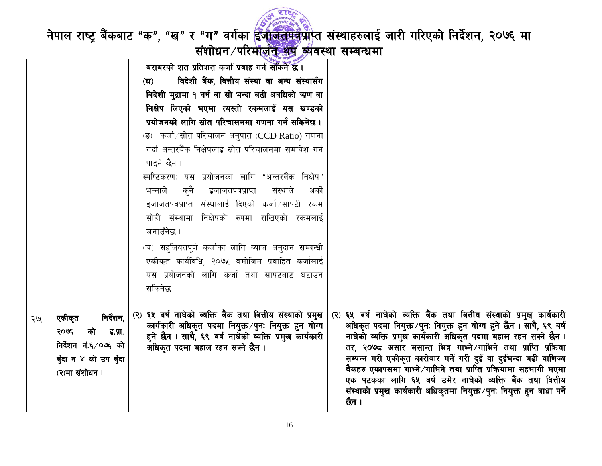

नेपाल राष्ट्र बैंकबाट "क", "ख" र "ग" वर्गका <mark>ईजाजतपत्र</mark>प्राप्त संस्थाहरुलाई जारी गरिएको निर्देशन, २०७६ मा<br>संशोधन /परिमाज़ीन व्यवस्था सम्बन्धमा

|     |                        | the contract of the contract of the contract of the contract of the contract of the contract of the contract of<br>$\mathcal{L}$ and $\mathcal{L}$ and $\mathcal{L}$ and $\mathcal{L}$ and $\mathcal{L}$ |                                                                        |
|-----|------------------------|----------------------------------------------------------------------------------------------------------------------------------------------------------------------------------------------------------|------------------------------------------------------------------------|
|     |                        | बराबरको शत प्रतिशत कर्जा प्रबाह गर्न सकिने छ।                                                                                                                                                            |                                                                        |
|     |                        | विदेशी बैंक, वित्तीय संस्था वा अन्य संस्थासँग<br>$(\mathbf{F})$                                                                                                                                          |                                                                        |
|     |                        | विदेशी मुद्रामा १ वर्ष वा सो भन्दा बढी अवधिको ऋण वा                                                                                                                                                      |                                                                        |
|     |                        | निक्षेप लिएको भएमा त्यस्तो रकमलाई यस खण्डको                                                                                                                                                              |                                                                        |
|     |                        | प्रयोजनको लागि स्रोत परिचालनमा गणना गर्न सकिनेछ ।                                                                                                                                                        |                                                                        |
|     |                        | (ङ) कर्जा∕स्रोत परिचालन अनुपात (CCD Ratio) गणना                                                                                                                                                          |                                                                        |
|     |                        | गर्दा अन्तरबैंक निक्षेपलाई स्रोत परिचालनमा समावेश गर्न                                                                                                                                                   |                                                                        |
|     |                        | पाइने छैन ।                                                                                                                                                                                              |                                                                        |
|     |                        | स्पष्टिकरण: यस प्रयोजनका लागि "अन्तरबैंक निक्षेप"                                                                                                                                                        |                                                                        |
|     |                        | क्नै<br>भन्नाले<br>इजाजतपत्रप्राप्त<br>संस्थाले<br>अको                                                                                                                                                   |                                                                        |
|     |                        | इजाजतपत्रप्राप्त संस्थालाई दिएको कर्जा⁄सापटी रकम                                                                                                                                                         |                                                                        |
|     |                        | सोही संस्थामा निक्षेपको रुपमा राखिएको रकमलाई                                                                                                                                                             |                                                                        |
|     |                        | जनाउँनेछ ।                                                                                                                                                                                               |                                                                        |
|     |                        | (च) सहुलियतपूर्ण कर्जाका लागि ब्याज अनुदान सम्बन्धी                                                                                                                                                      |                                                                        |
|     |                        | एकीकृत कार्यविधि, २०७५ बमोजिम प्रवाहित कर्जालाई                                                                                                                                                          |                                                                        |
|     |                        | यस प्रयोजनको लागि कर्जा तथा सापटबाट घटाउन                                                                                                                                                                |                                                                        |
|     |                        | सकिनेछ ।                                                                                                                                                                                                 |                                                                        |
|     |                        |                                                                                                                                                                                                          |                                                                        |
|     | निर्देशन,<br>एकीकृत    | (२) ६५ वर्ष नाघेको व्यक्ति बैंक तथा वित्तीय संस्थाको प्रमुख                                                                                                                                              | (२) ६५ वर्ष नाघेको व्यक्ति बैंक तथा वित्तीय संस्थाको प्रमुख कार्यकारी  |
| २७. |                        | कार्यकारी अधिकृत पदमा नियुक्त /पुनः नियुक्त हुन योग्य                                                                                                                                                    | अधिकृत पदमा नियुक्त ∕ पुनः नियुक्त हुन योग्य हुने छैन । साथै, ६९ वर्ष  |
|     | २०७६<br>को<br>इ.प्रा.  | हुने छैन । साथै, ६९ वर्ष नाघेको व्यक्ति प्रमुख कार्यकारी                                                                                                                                                 | नाघेको व्यक्ति प्रमुख कार्यकारी अधिकृत पदमा बहाल रहन सक्ने छैन ।       |
|     | निर्देशन नं.६/०७६ को   | अधिकृत पदमा बहाल रहन सक्ने छैन ।                                                                                                                                                                         | तर, २०७८ असार मसान्त भित्र गाभ्ने ∕गाभिने तथा प्राप्ति प्रक्रिया       |
|     | बुँदा नं ४ को उप बुँदा |                                                                                                                                                                                                          | सम्पन्न गरी एकीकृत कारोबार गर्ने गरी दुई वा दुईभन्दा बढी वाणिज्य       |
|     |                        |                                                                                                                                                                                                          | बैंकहरु एकापसमा गाभ्ने ∕गाभिने तथा प्राप्ति प्रक्रियामा सहभागी भएमा    |
|     | (२)मा संशोधन ।         |                                                                                                                                                                                                          | एक पटकका लागि ६५ वर्ष उमेर नाघेको व्यक्ति बैंक तथा वित्तीय             |
|     |                        |                                                                                                                                                                                                          | संस्थाको प्रमुख कार्यकारी अधिकृतमा नियुक्त∕पुनः नियुक्त हुन बाधा पर्ने |
|     |                        |                                                                                                                                                                                                          | छैन ।                                                                  |
|     |                        |                                                                                                                                                                                                          |                                                                        |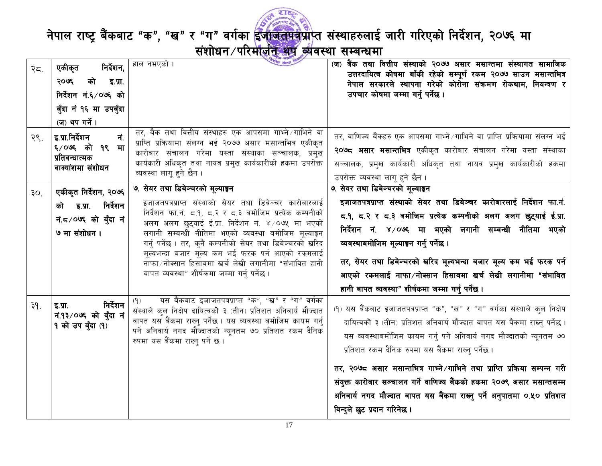

| २८.             | निर्देशन,<br>एकीकृत<br>२०७६<br>को इ.प्रा.<br>निर्देशन नं.६/०७६ को<br>बुँदा नं १६ मा उपबुँदा<br>(ज) थप गर्ने। | हाल नभएको ।                                                                                                                                                                                                                                                                                                                                                                                                                                                                                      | (ज) बैंक तथा वित्तीय संस्थाको २०७७ असार मसान्तमा संस्थागत सामाजिक<br>उत्तरदायित्व कोषमा बाँकी रहेको सम्पूर्ण रकम २०७७ साउन मसान्तभित्र<br>नेपाल सरकारले स्थापना गरेको कोरोना संक्रमण रोकथाम, नियन्त्रण र<br>उपचार कोषमा जम्मा गर्नु पर्नेछ ।                                                                                                                                                                                                                                                                                                            |
|-----------------|--------------------------------------------------------------------------------------------------------------|--------------------------------------------------------------------------------------------------------------------------------------------------------------------------------------------------------------------------------------------------------------------------------------------------------------------------------------------------------------------------------------------------------------------------------------------------------------------------------------------------|---------------------------------------------------------------------------------------------------------------------------------------------------------------------------------------------------------------------------------------------------------------------------------------------------------------------------------------------------------------------------------------------------------------------------------------------------------------------------------------------------------------------------------------------------------|
| २९.             | इ.प्रा.निर्देशन<br>नं.<br>६/०७६ को १९<br>मा<br>प्रतिवन्धात्मक<br>वाक्यांशमा संशोधन                           | तर, बैंक तथा वित्तीय संस्थाहरु एक आपसमा गाभ्ने /गाभिने वा<br>प्राप्ति प्रक्रियामा संलग्न भई २०७७ असार मसान्तभित्र एकीकृत<br>कारोबार संचालन गरेमा यस्ता संस्थाका सञ्चालक, प्रमुख<br>कार्यकारी अधिकृत तथा नायव प्रमुख कार्यकारीको हकमा उपरोक्त<br>व्यवस्था लागू हुने छैन ।                                                                                                                                                                                                                         | तर, वाणिज्य बैंकहरु एक आपसमा गाभ्ने /गाभिने वा प्राप्ति प्रक्रियामा संलग्न भई<br>२ <b>०७८ असार मसान्तभित्र</b> एकीकृत कारोबार संचालन गरेमा यस्ता संस्थाका<br>सञ्चालक, प्रमुख कार्यकारी अधिकृत तथा नायव प्रमुख कार्यकारीको हकमा<br>उपरोक्त व्यवस्था लागू हुने छैन ।                                                                                                                                                                                                                                                                                      |
| 30 <sub>1</sub> | एकीकृत निर्देशन, २०७६<br>को इ.प्रा. निर्देशन<br>नं. ८/०७६ को बँदा नं<br>७ मा संशोधन।                         | ७. सेयर तथा डिबेञ्चरको मूल्याङ्गन<br>इजाजतपत्रप्राप्त संस्थाको सेयर तथा डिबेञ्चर कारोबारलाई<br>निर्देशन फा.नं. ८.१, ८.२ र ८.३ बमोजिम प्रत्येक कम्पनीको<br>अलग अलग छुट्याई ई.प्रा. निर्देशन नं. ४/०७५ मा भएको<br>लगानी सम्बन्धी नीतिमा भएको व्यवस्था बमोजिम मूल्याङ्कन<br>गर्न् पर्नेछ । तर, क्नै कम्पनीको सेयर तथा डिबेञ्चरको खरिद<br>मूल्यभन्दा बजार मूल्य कम भई फरक पर्न आएको रकमलाई<br>नाफा ⁄ नोक्सान हिसाबमा खर्च लेखी लगानीमा "संभावित हानी<br>बापत व्यवस्था" शीर्षकमा जम्मा गर्न् पर्नेछ । | ७. सेयर तथा डिबेञ्चरको मूल्याङ्गन<br>इजाजतपत्रप्राप्त संस्थाको सेयर तथा डिबेञ्चर कारोबारलाई निर्देशन फा.नं.<br>८.१, ८.२ र ८.३ बमोजिम प्रत्येक कम्पनीको अलग अलग छुट्याई ई.प्रा.<br>निर्देशन नं. ४/०७६ मा भएको लगानी सम्बन्धी नीतिमा भएको<br>व्यवस्थाबमोजिम मूल्याङ्गन गर्न् पर्नेछ ।<br>तर, सेयर तथा डिबेञ्चरको खरिद मूल्यभन्दा बजार मूल्य कम भई फरक पर्न<br>आएको रकमलाई नाफा ⁄नोक्सान हिसाबमा खर्च लेखी लगानीमा "संभावित<br>हानी बापत व्यवस्था" शीर्षकमा जम्मा गर्नु पर्नेछ ।                                                                           |
| ३१.             | निर्देशन<br>  इ.प्रा.  <br>नं.१३/०७६ को बुँदा नं<br>9 को उप बुँदा (१)                                        | यस बैंकबाट इजाजतपत्रप्राप्त "क", "ख" र "ग" वर्गका<br>(9)<br>संस्थाले कुल निक्षेप दायित्वको ३ (तीन) प्रतिशत अनिवार्य मौज्दात<br>वापत यस बैंकमा राख्नु पर्नेछ । यस व्यवस्था बमोजिम कायम गर्नु<br>पर्ने अनिवार्य नगद मौज्दातको न्यूनतम ७० प्रतिशत रकम दैनिक<br>रुपमा यस बैंकमा राख्न् पर्ने छ ।                                                                                                                                                                                                     | (१) यस बैंकबाट इजाजतपत्रप्राप्त "क", "ख" र "ग" वर्गका संस्थाले कुल निक्षेप<br>दायित्वको ३ (तीन) प्रतिशत अनिवार्य मौज्दात वापत यस बैंकमा राख्न् पर्नेछ ।<br>यस व्यवस्थाबमोजिम कायम गर्न् पर्ने अनिवार्य नगद मौज्दातको न्यूनतम ७०<br>प्रतिशत रकम दैनिक रुपमा यस बैंकमा राख्नु पर्नेछ ।<br>तर, २०७८ असार मसान्तभित्र गाभ्ने ⁄गाभिने तथा प्राप्ति प्रक्रिया सम्पन्न गरी<br>संयुक्त कारोबार सञ्चालन गर्ने वाणिज्य बैंकको हकमा २०७९ असार मसान्तसम्म<br>अनिवार्य नगद मौज्दात वापत यस बैंकमा राख्नु पर्ने अनुपातमा ०.५० प्रतिशत<br>विन्दुले छुट प्रदान गरिनेछ । |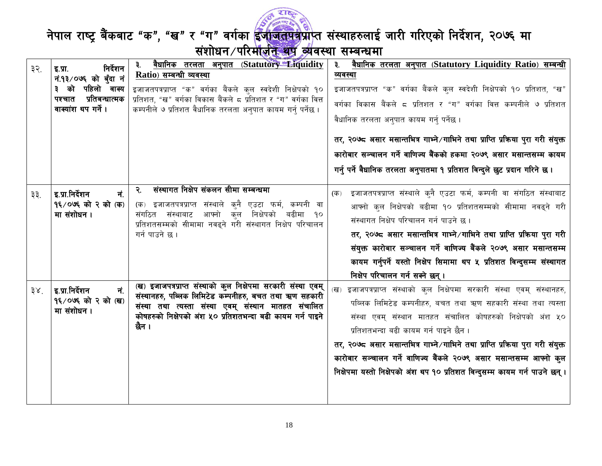

| ३२.             | निर्देशन<br>इ.प्रा.<br>नं.१३/०७६ को बँदा नं<br>३ को पहिलो वाक्य<br>प्रतिबन्धात्मक<br>पश्चात<br>वाक्यांश थप गर्ने । | <u>वैधानिक तरलता अनुपात (Statutory Eiquidity</u><br>३. ।<br>Ratio) सम्बन्धी व्यवस्था<br>इजाजतपत्रप्राप्त "क" वर्गका बैंकले कुल स्वदेशी निक्षेपको १०<br>प्रतिशत, "ख" वर्गका विकास बैंकले ८ प्रतिशत र "ग" वर्गका वित्त<br>कम्पनीले ७ प्रतिशत वैधानिक तरलता अनुपात कायम गर्न् पर्नेछ । | ३. <u>वैधानिक तरलता अनुपात (Statutory Liquidity Ratio) सम्बन्धी</u><br>व्यवस्था<br>इजाजतपत्रप्राप्त "क" वर्गका बैंकले कुल स्वदेशी निक्षेपको १० प्रतिशत, "ख"<br>वर्गका विकास बैंकले ८ प्रतिशत र "ग" वर्गका वित्त कम्पनीले ७ प्रतिशत                                                                                                                                                                                                                                                             |
|-----------------|--------------------------------------------------------------------------------------------------------------------|-------------------------------------------------------------------------------------------------------------------------------------------------------------------------------------------------------------------------------------------------------------------------------------|------------------------------------------------------------------------------------------------------------------------------------------------------------------------------------------------------------------------------------------------------------------------------------------------------------------------------------------------------------------------------------------------------------------------------------------------------------------------------------------------|
|                 |                                                                                                                    |                                                                                                                                                                                                                                                                                     | वैधानिक तरलता अनुपात कायम गर्न् पर्नेछ ।<br>तर, २०७८ असार मसान्तभित्र गाभ्ने ∕गाभिने तथा प्राप्ति प्रक्रिया पुरा गरी संयुक्त<br>कारोबार सञ्चालन गर्ने वाणिज्य बैंकको हकमा २०७९ असार मसान्तसम्म कायम<br>गर्नु पर्ने वैधानिक तरलता अनुपातमा १ प्रतिशत विन्दुले छुट प्रदान गरिने छ ।                                                                                                                                                                                                              |
| ३३.             | इ.प्रा.निर्देशन<br>नं.<br>9६/०७६ को २ को (क)<br>मा संशोधन ।                                                        | संस्थागत निक्षेप संकलन सीमा सम्बन्धमा<br>२.<br>(क) इजाजतपत्रप्राप्त संस्थाले कुनै एउटा फर्म, कम्पनी वा<br>आफ्नो कुल निक्षेपको बढीमा १०<br>संगठित संस्थाबाट<br>प्रतिशतसम्मको सीमामा नवढ्ने गरी संस्थागत निक्षेप परिचालन<br>गर्न पाउने छ ।                                            | इजाजतपत्रप्राप्त संस्थाले क्नै एउटा फर्म, कम्पनी वा संगठित संस्थाबाट<br>(क)<br>आफ्नो कल निक्षेपको बढीमा १० प्रतिशतसम्मको सीमामा नवढ्ने गरी<br>संस्थागत निक्षेप परिचालन गर्न पाउने छ।<br>तर, २०७८ असार मसान्तभित्र गाभ्ने ⁄ गाभिने तथा प्राप्ति प्रक्रिया पुरा गरी<br>संयुक्त कारोबार सञ्चालन गर्ने वाणिज्य बैंकले २०७९ असार मसान्तसम्म<br>कायम गर्नुपर्ने यस्तो निक्षेप सिमामा थप ५ प्रतिशत विन्दुसम्म संस्थागत<br>निक्षेप परिचालन गर्न सक्ने छन् ।                                            |
| 38 <sup>7</sup> | इ.प्रा.निर्देशन<br>नं.<br>9६/०७६ को २ को (ख)<br>मा संशोधन।                                                         | (ख) इजाजपत्रप्राप्त संस्थाको कुल निक्षेपमा सरकारी संस्था एवम्<br>संस्थानहरु, पब्लिक लिमिटेड कम्पनीहरु, बचत तथा ऋण सहकारी<br>संस्था तथा त्यस्ता संस्था एवम् संस्थान मातहत संचालित<br>कोषहरुको निक्षेपको अंश ५० प्रतिशतभन्दा बढी कायम गर्न पाइने<br>छैन ।                             | (ख) इजाजपत्रप्राप्त संस्थाको कुल निक्षेपमा सरकारी संस्था एवम् संस्थानहरु,<br>पब्लिक लिमिटेड कम्पनीहरु, बचत तथा ऋण सहकारी संस्था तथा त्यस्ता<br>संस्था एवम् संस्थान मातहत संचालित कोषहरुको निक्षेपको अंश ५०<br>प्रतिशतभन्दा बढी कायम गर्न पाइने छैन ।<br>तर, २०७८ असार मसान्तभित्र गाभ्ने /गाभिने तथा प्राप्ति प्रक्रिया पुरा गरी संयुक्त<br>कारोबार सञ्चालन गर्ने वाणिज्य बैंकले २०७९ असार मसान्तसम्म आफ्नो कुल<br>निक्षेपमा यस्तो निक्षेपको अंश थप १० प्रतिशत विन्दुसम्म कायम गर्न पाउने छन्। |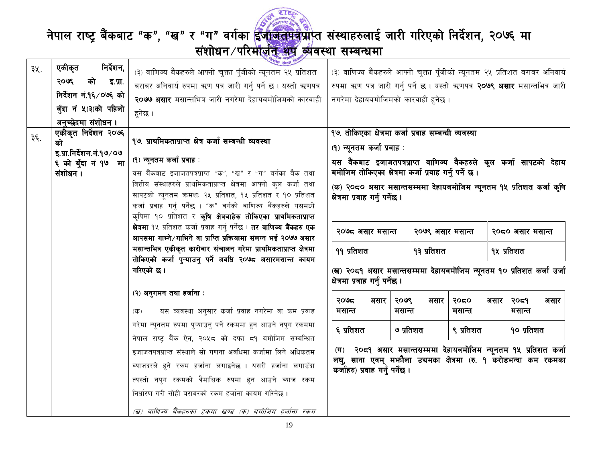

|     | निर्देशन,                | पाय संस्था                                                                                                                    |                                                                                                       |                        |                |      |                        |
|-----|--------------------------|-------------------------------------------------------------------------------------------------------------------------------|-------------------------------------------------------------------------------------------------------|------------------------|----------------|------|------------------------|
| ३५. | एकीकृत                   | (३) वाणिज्य बैंकहरुले आफ्नो चुक्ता पुँजीको न्यूनतम २५ प्रतिशत                                                                 | (३) वाणिज्य बैंकहरुले आफ्नो चुक्ता पुँजीको न्यूनतम २५ प्रतिशत बराबर अनिवार्य                          |                        |                |      |                        |
|     | २०७६<br>को<br>इ.प्रा.    | बराबर अनिवार्य रुपमा ऋण पत्र जारी गर्नु पर्ने छ । यस्तो ऋणपत्र                                                                | रुपमा ऋण पत्र जारी गर्न् पर्ने छ । यस्तो ऋणपत्र <b>२०७९ असार</b> मसान्तभित्र जारी                     |                        |                |      |                        |
|     | निर्देशन नं.१६/०७६ को    | २०७७ असार मसान्तभित्र जारी नगरेमा देहायबमोजिमको कारवाही                                                                       | नगरेमा देहायबमोजिमको कारवाही हुनेछ ।                                                                  |                        |                |      |                        |
|     | बुँदा नं ५(३)को पहिलो    | हनेछ ।                                                                                                                        |                                                                                                       |                        |                |      |                        |
|     | अनुच्छेदमा संशोधन ।      |                                                                                                                               |                                                                                                       |                        |                |      |                        |
|     | एकीकृत निर्देशन २०७६     |                                                                                                                               | १७. तोकिएका क्षेत्रमा कर्जा प्रवाह सम्बन्धी व्यवस्था                                                  |                        |                |      |                        |
| ३६. | को                       | १७. प्राथमिकताप्राप्त क्षेत्र कर्जा सम्बन्धी व्यवस्था                                                                         | (१) न्यूनतम कर्जा प्रवाह :                                                                            |                        |                |      |                        |
|     | इ.प्रा.निर्देशन.नं.१७/०७ | (१) न्यूनतम कर्जा प्रवाह :                                                                                                    |                                                                                                       |                        |                |      |                        |
|     | ६ को बुँदा नं १७ मा      |                                                                                                                               | यस बैंकबाट इजाजतपत्रप्राप्त वाणिज्य बैकहरुले कुल कर्जा सापटको देहाय                                   |                        |                |      |                        |
|     | संशोधन ।                 | यस बैंकबाट इजाजतपत्रप्राप्त "क", "ख" र "ग" वर्गका बैक तथा                                                                     | बमोजिम तोकिएका क्षेत्रमा कर्जा प्रवाह गर्नु पर्ने छ।                                                  |                        |                |      |                        |
|     |                          | वित्तीय संस्थाहरुले प्राथमिकताप्राप्त क्षेत्रमा आफ्नो कुल कर्जा तथा                                                           | (क) २०८० असार मसान्तसम्ममा देहायबमोजिम न्यूनतम १५ प्रतिशत कर्जा कृषि                                  |                        |                |      |                        |
|     |                          | सापटको न्यूनतम क्रमश: २५ प्रतिशत, १५ प्रतिशत र १० प्रतिशत<br>कर्जा प्रवाह गर्न् पर्नेछ । "क" वर्गको वाणिज्य बैंकहरुले यसमध्ये | क्षेत्रमा प्रवाह गर्नु पर्नेछ ।                                                                       |                        |                |      |                        |
|     |                          | कृषिमा १० प्रतिशत र <b>कृषि क्षेत्रबाहेक तोकिएका प्राथमिकताप्राप्त</b>                                                        |                                                                                                       |                        |                |      |                        |
|     |                          | क्षेत्रमा १५ प्रतिशत कर्जा प्रवाह गर्नु पर्नेछ । <b>तर वाणिज्य बैंकहरु एक</b>                                                 |                                                                                                       |                        |                |      |                        |
|     |                          | आपसमा गाभ्ने /गाभिने वा प्राप्ति प्रक्रियामा संलग्न भई २०७७ असार                                                              | २०७८ असार मसान्त                                                                                      | २०७९ असार मसान्त       |                |      | २०८० असार मसान्त       |
|     |                          | मसान्तभित्र एकीकृत कारोबार संचालन गरेमा प्राथमिकताप्राप्त क्षेत्रमा                                                           | ११ प्रतिशत                                                                                            | १३ प्रतिशत             |                |      | १५ प्रतिशत             |
|     |                          | तोकिएको कर्जा पुऱ्याउनु पर्ने अवधि २०७८ असारमसान्त कायम                                                                       |                                                                                                       |                        |                |      |                        |
|     |                          | गरिएको छ ।                                                                                                                    | (ख) २०द१ असार मसान्तसम्ममा देहायबमोजिम न्यूनतम १० प्रतिशत कर्जा उर्जा                                 |                        |                |      |                        |
|     |                          |                                                                                                                               | क्षेत्रमा प्रवाह गर्नु पर्नेछ ।                                                                       |                        |                |      |                        |
|     |                          | (२) अनुगमन तथा हर्जाना :                                                                                                      |                                                                                                       |                        |                |      |                        |
|     |                          |                                                                                                                               | २०७८<br>असार<br>मसान्त                                                                                | २०७९<br>असार<br>मसान्त | २०८०<br>मसान्त | असार | २०द१<br>असार<br>मसान्त |
|     |                          | यस व्यवस्था अनुसार कर्जा प्रवाह नगरेमा वा कम प्रवाह<br>$(\overline{d} \overline{b})$                                          |                                                                                                       |                        |                |      |                        |
|     |                          | गरेमा न्यूनतम रुपमा प्ऱ्याउन् पर्ने रकममा हन आउने नपुग रकममा                                                                  | ६ प्रतिशत                                                                                             | ७ प्रतिशत              | ९ प्रतिशत      |      | १० प्रतिशत             |
|     |                          | नेपाल राष्ट्र बैंक ऐन, २०५८ को दफा ८१ बमोजिम सम्बन्धित                                                                        |                                                                                                       |                        |                |      |                        |
|     |                          | इजाजतपत्रप्राप्त संस्थाले सो गणना अवधिमा कर्जामा लिने अधिकतम                                                                  | (ग) २०८१ असार मसान्तसम्ममा देहायबमोजिम न्यूनतम १५ प्रतिशत कर्जा                                       |                        |                |      |                        |
|     |                          | ब्याजदरले हने रकम हर्जाना लगाइनेछ । यसरी हर्जाना लगाउँदा                                                                      | लघु, साना एवम् मभ्गैला उद्यमका क्षेत्रमा (रु. १ करोडभन्दा कम रकमका<br>कर्जाहरु) प्रवाह गर्नु पर्नेछ । |                        |                |      |                        |
|     |                          | त्यस्तो नपुग रकमको त्रैमासिक रुपमा हुन आउने ब्याज रकम                                                                         |                                                                                                       |                        |                |      |                        |
|     |                          | निर्धारण गरी सोही बराबरको रकम हर्जाना कायम गरिनेछ ।                                                                           |                                                                                                       |                        |                |      |                        |
|     |                          | (ख) वाणिज्य बैंकहरुका हकमा खण्ड (क) बमोजिम हर्जाना रकम                                                                        |                                                                                                       |                        |                |      |                        |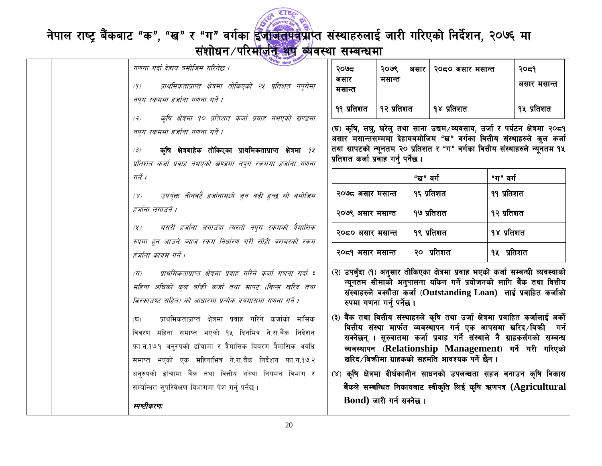

## नेपाल राष्ट्र बैंकबाट "क", "ख" र "ग" वर्गका <mark>ईंजाजतपत्र</mark>प्राप्त संस्थाहरुलाई जारी गरिएको निर्देशन, २०७६ मा

### संशोधन/परिमोजेन थेयू व्यवस्था सम्बन्धमा

|  | लीय संस्था !<br>गणना गर्दा देहाय बमोजिम गरिनेछ ।                                                                                                                                                                                                                     | २०७८                                                                 |
|--|----------------------------------------------------------------------------------------------------------------------------------------------------------------------------------------------------------------------------------------------------------------------|----------------------------------------------------------------------|
|  | प्राथमिकताप्राप्त क्षेत्रमा तोकिएको २५ प्रतिशत नप्गेमा<br>(9)                                                                                                                                                                                                        | असार<br>मसान्त                                                       |
|  | नपुग रकममा हर्जाना गणना गर्ने ।                                                                                                                                                                                                                                      | ११ प्रतिशत                                                           |
|  | कृषि क्षेत्रमा १० प्रतिशत कर्जा प्रवाह नभएको खण्डमा<br>(7)                                                                                                                                                                                                           |                                                                      |
|  | नपुग रकममा हर्जाना गणना गर्ने ।                                                                                                                                                                                                                                      | (घ) कृषि, लघु<br>असार मसान्त                                         |
|  | कृषि क्षेत्रबाहेक तोकिएका प्राथमिकताप्राप्त क्षेत्रमा <i>१४</i><br>(3)                                                                                                                                                                                               | तथा सापटको<br>प्रतिशत कर्जा '                                        |
|  | प्रतिशत कर्जा प्रवाह नभएको खण्डमा नपुग रकममा हर्जाना गणना<br>गर्ने ।                                                                                                                                                                                                 |                                                                      |
|  | उपर्युक्त तीनवटै हर्जानामध्ये जुन बढी हुन्छ सो बमोजिम<br>$(\gamma)$                                                                                                                                                                                                  | २०७८ असार                                                            |
|  | हर्जाना लगाउने ।                                                                                                                                                                                                                                                     | २०७९ असार                                                            |
|  | यसरी हर्जाना लगाउँदा त्यस्तो नपुग रकमको त्रैमासिक<br>(2)                                                                                                                                                                                                             | २०८० असार                                                            |
|  | रुपमा हुन आउने ब्याज रकम निर्धारण गरी सोही बराबरको रकम<br>हर्जाना कायम गर्ने ।                                                                                                                                                                                       | २०८१ असार                                                            |
|  | प्राथमिकताप्राप्त क्षेत्रमा प्रवाह गरिने कर्जा गणना गर्दा ६<br>$(\overline{H})$<br>महिना अधिको कुल बाँकी कर्जा तथा सापट (बिल्स खरिद तथा<br>डिस्काउण्ट सहित) को आधारमा प्रत्येक त्रयमासमा गणना गर्ने ।                                                                | (२) उपबुँदा (१<br>न्यूनतम र<br>संस्थाहरुले<br>रुपमा गण               |
|  | प्राथमिकताप्राप्त क्षेत्रमा प्रवाह गरिने कर्जाको मासिक<br>$(\mathbf{\Sigma})$<br>विवरण महिना समाप्त भएको १५ दिनभित्र ने.रा.बैंक निर्देशन<br>फा.नं.१७.१ अनुरुपको ढाँचामा र त्रैमासिक विवरण त्रैमासिक अवधि<br>समाप्त भएको एक महिनाभित्र ने.रा.बैंक निर्देशन फा.नं.१७.२ | (३) बैंक तथा<br>वित्तीय सं<br>सक्नेछन्<br>व्यवस्थापन<br>खरिद ∕ बिन्न |
|  | अनुरुपको ढाँचामा बैंक तथा वित्तीय संस्था नियमन विभाग र                                                                                                                                                                                                               | (४) कृषि क्षेत्र                                                     |
|  | सम्बन्धित सुपरिवेक्षण विभागमा पेश गर्न् पर्नेछ ।                                                                                                                                                                                                                     | बैंकले सम्ब                                                          |
|  | स्पष्टीकरणः                                                                                                                                                                                                                                                          | <b>Bond</b> )                                                        |

| २०७८<br>असार<br>मसान्त   | २०७९<br>असार<br>मसान्त | २०८० असार मसान्त | २०८१<br>असार मसान्त |
|--------------------------|------------------------|------------------|---------------------|
| १२ प्रतिशत<br>११ प्रतिशत |                        | १४ प्रतिशत       | १५ प्रतिशत          |

<u>।</u>, घरेलु तथा साना उद्यम ∕व्यवसाय, उर्जा र पर्यटन क्षेत्रमा २**०**८१ .<br>सम्ममा देहायबमोजिम "ख" वर्गका वित्तीय संस्थाहरुले कुल कर्जा न्युनतम २० प्रतिशत र "ग" वर्गका वित्तीय संस्थाहरुले न्युनतम १५ प्रवाह गर्न पर्नेछ ।

|                  | "ख" वर्ग   | "ग" वर्ग   |
|------------------|------------|------------|
| २०७८ असार मसान्त | १६ प्रतिशत | ११ प्रतिशत |
| २०७९ असार मसान्त | १७ प्रतिशत | १२ प्रतिशत |
| २०द० असार मसान्त | १९ प्रतिशत | १४ प्रतिशत |
| २०८१ असार मसान्त | २० प्रतिशत | १५ प्रतिशत |

।) अनुसार तोकिएका क्षेत्रमा प्रवाह भएको कर्जा सम्बन्धी व्यवस्थाको सीमाको अनुपालना यकिन गर्ने प्रयोजनको लागि बैंक तथा वित्तीय  $^{\cdot}$  बक्यौता कर्जा (Outstanding  $\bf{Lo}$ an) लाई प्रवाहित कर्जाको ाना गर्न् पर्नेछ ।

- वित्तीय संस्थाहरुले कृषि तथा उर्जा क्षेत्रमा प्रवाहित कर्जालाई अर्को ांस्था मार्फत व्यवस्थापन गर्न एक आपसमा खरिद ∕िबकी गर्न । सुरुवातमा कर्जा प्रवाह गर्ने संस्थाले नै ग्राहकसँगको सम्बन्ध न (Relationship Management) गर्ने गरी गरिएको क्रीमा ग्राहकको सहमति आवश्यक पर्ने छैन ।
- **ामा दीर्घकालीन साधनको उपलब्धता सहज बनाउन** कृषि विकास बन्धित निकायबाट स्वीकृति लिई कृषि ऋणपत्र ( $\bf{A}$  $\bf{gricultural}$ जारी गर्न सक्नेछ ।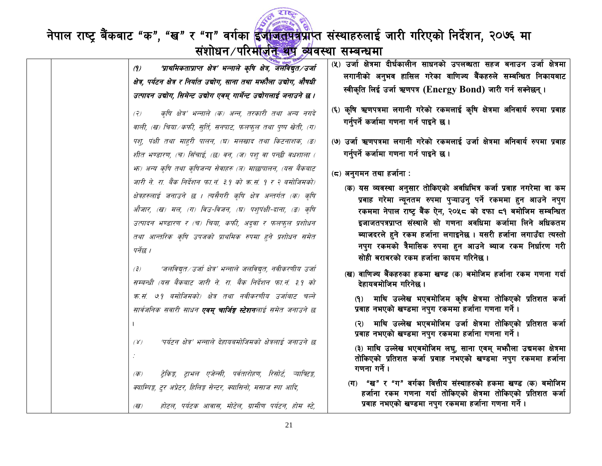

| 'प्राथमिकताप्राप्त क्षेत्र' भन्नाले कृषि क्षेत्र, जलविद्युत/उर्जा<br>(9)<br>क्षेत्र, पर्यटन क्षेत्र र निर्यात उद्योग, साना तथा मभ्नौला उद्योग, औषधी<br>उत्पादन उद्योग, सिमेन्ट उद्योग एवम् गार्मेन्ट उद्योगलाई जनाउने छ ।<br>कृषि क्षेत्र' भन्नाले (क) अन्न, तरकारी तथा अन्य नगदे<br>(2)<br>वाली, (ख) चिया /कफी, सुर्ति, सनपाट, फलफुल तथा पुष्प खेती, (ग)<br>पश्, पंक्षी तथा माहुरी पालन, (घ) मलखाद तथा किटनाशक, (ङ)<br>शीत भण्डारण, (च) सिँचाई, (छ) वन, (ज) पश् वा पन्छी वधशाला ( | (५) उर्जा क्षेत्रमा दीर्घकालीन साधनको उपलब्धता सहज बनाउन उर्जा क्षेत्रमा<br>लगानीको अनुभव हासिल गरेका वाणिज्य बैंकहरुले सम्बन्धित निकायबाट<br>स्वीकृति लिई उर्जा ऋणपत्र (Energy Bond) जारी गर्न सक्नेछन् ।<br>(६) कृषि ऋणपत्रमा लगानी गरेको रकमलाई कृषि क्षेत्रमा अनिवार्य रुपमा प्रवाह<br>गर्नुपर्ने कर्जामा गणना गर्न पाइने छ।<br>(७) उर्जा ऋणपत्रमा लगानी गरेको रकमलाई उर्जा क्षेत्रमा अनिवार्य रुपमा प्रवाह<br>गर्नुपर्ने कर्जामा गणना गर्न पाइने छ।                      |
|------------------------------------------------------------------------------------------------------------------------------------------------------------------------------------------------------------------------------------------------------------------------------------------------------------------------------------------------------------------------------------------------------------------------------------------------------------------------------------|-------------------------------------------------------------------------------------------------------------------------------------------------------------------------------------------------------------------------------------------------------------------------------------------------------------------------------------------------------------------------------------------------------------------------------------------------------------------------------|
| भ्रु) अन्य कृषि तथा कृषिजन्य सेवाहरु (त्र) माछापालन, (यस बैंकबाट<br>जारी ने. रा. बैंक निर्देशन फा.नं. ३१ को क्र.सं. १ र २ बमोजिमको)<br>क्षेत्रहरुलाई जनाउने छ । त्यसैगरी कृषि क्षेत्र अन्तर्गत (क) कृषि<br>औजार, (ख) मल, (ग) विउ-विजन, (घ) पश्पंक्षी-दाना, (ङ) कृषि<br>उत्पादन भण्डारण र (च) चिया, कफी, अदुवा र फलफुल प्रशोधन<br>तथा आन्तरिक कृषि उपजको प्राथमिक रुपमा हुने प्रशोधन समेत<br>पर्नेछ ।                                                                               | (८) अनुगमन तथा हर्जाना :<br>(क) यस व्यवस्था अनुसार तोकिएको अवधिभित्र कर्जा प्रवाह नगरेमा वा कम<br>प्रवाह गरेमा न्यूनतम रुपमा पुऱ्याउनु पर्ने रकममा हुन आउने नपुग<br>रकममा नेपाल राष्ट्र बैंक ऐन, २०५८ को दफा ८१ बमोजिम सम्बन्धित<br>इजाजतपत्रप्राप्त संस्थाले सो गणना अवधिमा कर्जामा लिने अधिकतम<br>ब्याजदरले हुने रकम हर्जाना लगाइनेछ । यसरी हर्जाना लगाउँदा त्यस्तो<br>नपुग रकमको त्रैमासिक रुपमा हुन आउने ब्याज रकम निर्धारण गरी<br>सोही बराबरको रकम हर्जाना कायम गरिनेछ । |
| 'जलविद्युत∕उर्जा क्षेत्र' भन्नाले जलविद्युत, नवीकरणीय उर्जा<br>(3)<br>सम्बन्धी (यस बैंकबाट जारी ने. रा. बैंक निर्देशन फा.नं. ३.१ को<br>क्र.सं. ७१ बमोजिमको) क्षेत्र तथा नवीकरणीय उर्जाबाट चल्ने<br>सार्वजनिक सवारी साधन <b>एवम् चार्जिङ्ग स्टेशन</b> लाई समेत जनाउने छ                                                                                                                                                                                                             | (ख) वाणिज्य बैंकहरुका हकमा खण्ड (क) बमोजिम हर्जाना रकम गणना गर्दा<br>देहायबमोजिम गरिनेछ ।<br>(१) माथि उल्लेख भएबमोजिम कृषि क्षेत्रमा तोकिएको प्रतिशत कर्जा<br>प्रवाह नभएको खण्डमा नपुग रकममा हर्जाना गणना गर्ने।                                                                                                                                                                                                                                                              |
| 'पर्यटन क्षेत्र' भन्नाले देहायबमोजिमको क्षेत्रलाई जनाउने छ<br>$(\gamma)$                                                                                                                                                                                                                                                                                                                                                                                                           | (२) माथि उल्लेख भएबमोजिम उर्जा क्षेत्रमा तोकिएको प्रतिशत कर्जा<br>प्रवाह नभएको खण्डमा नपुग रकममा हर्जाना गणना गर्ने।<br>(३) माथि उल्लेख भएबमोजिम लघु, साना एवम् मभ्गौला उद्यमका क्षेत्रमा<br>तोकिएको प्रतिशत कर्जा प्रवाह नभएको खण्डमा नपुग रकममा हर्जाना<br>गणना गर्ने ।                                                                                                                                                                                                     |
| ट्रेकिङ्ग, ट्राभल एजेन्सी, पर्वतारोहण, रिसोर्ट, ऱ्याफ्टिङ्ग,<br>(क)<br>क्याम्पिङ्ग, टूर अप्रेटर, हिलिङ्ग सेन्टर, क्यासिनो, मसाज स्पा आदि,<br>होटल, पर्यटक आवास, मोटेल, ग्रामीण पर्यटन, होम स्टे,<br>(ख)                                                                                                                                                                                                                                                                            | (ग) "ख" र "ग" वर्गका वित्तीय संस्थाहरुको हकमा खण्ड (क) बमोजिम<br>हर्जाना रकम गणना गर्दा तोकिएको क्षेत्रमा तोकिएको प्रतिशत कर्जा<br>प्रवाह नभएको खण्डमा नपुग रकममा हर्जाना गणना गर्ने ।                                                                                                                                                                                                                                                                                        |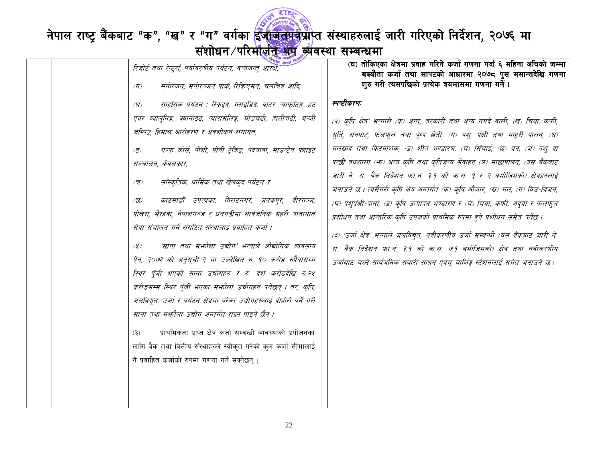

## नेपाल राष्ट्र बैंकबाट "क", "ख" र "ग" वर्गका <mark>ईजाजतपत्र</mark>प्राप्त संस्थाहरुलाई जारी गरिएको निर्देशन, २०७६ मा<br>संशोधन परिमाज<del>़ीत अप व्</del>यवस्था सम्बन्धमा

|  | रिजोर्ट तथा रेष्ट्राँ, पर्यावरणीय पर्यटन, वन्यजन्त् आरक्ष,<br>मनोरंजन, मनोरञ्जन पार्क, रिकिएसन, चलचित्र आदि,<br>$(\overline{\eta})$                                                                                                                                                                                                                                                                                                                                                                                                                                                                                                                                                                                                                                                                                                                                                                                                                                                                                                                                                                                                                                          | (घ) तोकिएका क्षेत्रमा प्रवाह गरिने कर्जा गणना गर्दा ६ महिना अघिको जम्मा<br>बक्यौता कर्जा तथा सापटको आधारमा २०७८ पुस मसान्तदेखि गणना<br>शुरु गरी त्यसपछिको प्रत्येक त्रयमासमा गणना गर्ने।                                                                                                                                                                                                                                                                                                                                                                                                                                                                                                                                                                                                                                                                                                                       |
|--|------------------------------------------------------------------------------------------------------------------------------------------------------------------------------------------------------------------------------------------------------------------------------------------------------------------------------------------------------------------------------------------------------------------------------------------------------------------------------------------------------------------------------------------------------------------------------------------------------------------------------------------------------------------------------------------------------------------------------------------------------------------------------------------------------------------------------------------------------------------------------------------------------------------------------------------------------------------------------------------------------------------------------------------------------------------------------------------------------------------------------------------------------------------------------|----------------------------------------------------------------------------------------------------------------------------------------------------------------------------------------------------------------------------------------------------------------------------------------------------------------------------------------------------------------------------------------------------------------------------------------------------------------------------------------------------------------------------------------------------------------------------------------------------------------------------------------------------------------------------------------------------------------------------------------------------------------------------------------------------------------------------------------------------------------------------------------------------------------|
|  | साहसिक पर्यटन : स्किइङ्ग, ग्लाइडिङ्ग, वाटर ऱ्याफ्टिङ्ग, हट<br>$\mathcal{F}(\mathbf{z})$<br>एयर व्याल्निङ्ग, क्यानोइड, प्यारासेलिङ्ग, घोडचढी, हात्तीचढी, बन्जी<br>जम्पिङ्ग, हिमाल आरोहरण र अवलोकन लगायत,<br>गल्फ कोर्स, पोलो, पोनी ट्रेकिङ्ग, पदयात्रा, माउन्टेन फ्लाइट<br>$\left( \overline{s}\right)$<br>सञ्चालन, केवलकार,<br>साँस्कृतिक, धार्मिक तथा खेलकुद पर्यटन र<br>$(\overline{\mathbf{v}})$<br>काठमाडौँ उपत्यका, विराटनगर, जनकपुर, वीरगञ्ज,<br>(छ)<br>पोखरा, भैरहवा, नेपालगञ्ज र धनगढीमा सार्वजनिक सहरी यातायात<br>सेवा संचालन गर्ने संगठित संस्थालाई प्रवाहित कर्जा ।<br>'साना तथा मभ्गौला उद्योग' भन्नाले औद्योगिक व्यवसाय<br>$(\chi)$<br>ऐन, २०७३ को अनुसूची-२ मा उल्लेखित रु. १० करोड रुपैयासम्म<br>स्थिर पूँजी भएको साना उद्योगहरु र रु. दश करोडदेखि रु.२४<br>करोडसम्म स्थिर पूँजी भएका मभ्गौला उद्योगहरु पर्नेछन् । तर, कृषि,<br>जलविद्युत ⁄ उर्जा र पर्यटन क्षेत्रमा परेका उद्योगहरुलाई दोहोरो पर्ने गरी<br>साना तथा मभ्हौला उद्योग अन्तर्गत राख्न पाइने छैन ।<br>प्राथमिकता प्राप्त क्षेत्र कर्जा सम्वन्धी व्यवस्थाको प्रयोजनका<br>(3)<br>लागि बैंक तथा वित्तीय संस्थाहरुले स्वीकृत गरेको कुल कर्जा सीमालाई<br>नै प्रवाहित कर्जाको रुपमा गणना गर्न सक्नेछन्। | स्पष्टीकरणः<br>(२) कृषि क्षेत्र' भन्नाले (क) अन्न, तरकारी तथा अन्य नगदे वाली, (ख) चिया ⁄कफी,<br>सुर्ति, सनपाट, फलफुल तथा पुष्प खेती, (ग) पशु, पंक्षी तथा माहुरी पालन, (घ)<br>मलखाद तथा किटनाशक, (ङ) शीत भण्डारण, (च) सिँचाई, (छ) वन, (ज) पश् वा<br>पन्छी वधशाला (भः) अन्य कृषि तथा कृषिजन्य सेवाहरु (ज) माछापालन, (यस बैंकबाट<br>जारी ने. रा. बैंक निर्देशन फा.नं. ३.१ को क्र.सं. १ र २ बमोजिमको) क्षेत्रहरुलाई<br>जनाउने छ । त्यसैगरी कृषि क्षेत्र अन्तर्गत (क) कृषि औजार, (ख) मल, (ग) विउ-विजन,<br>(घ) पशुपंक्षी-दाना, (ङ) कृषि उत्पादन भण्डारण र (च) चिया, कफी, अद्वा र फलफुल<br>प्रशोधन तथा आन्तरिक कृषि उपजको प्राथमिक रुपमा हुने प्रशोधन समेत पर्नेछ ।<br>(३) 'उर्जा क्षेत्र' भन्नाले जलविद्युत, नवीकरणीय उर्जा सम्बन्धी (यस बैंकबाट जारी ने.<br>रा. बैंक निर्देशन फा.नं. ३.१ को क.सं. ७.१ बमोजिमको) क्षेत्र तथा नवीकरणीय<br>उर्जाबाट चल्ने सार्वजनिक सवारी साधन एवम् चार्जिङ्ग स्टेशनलाई समेत जनाउने छ। |
|  |                                                                                                                                                                                                                                                                                                                                                                                                                                                                                                                                                                                                                                                                                                                                                                                                                                                                                                                                                                                                                                                                                                                                                                              |                                                                                                                                                                                                                                                                                                                                                                                                                                                                                                                                                                                                                                                                                                                                                                                                                                                                                                                |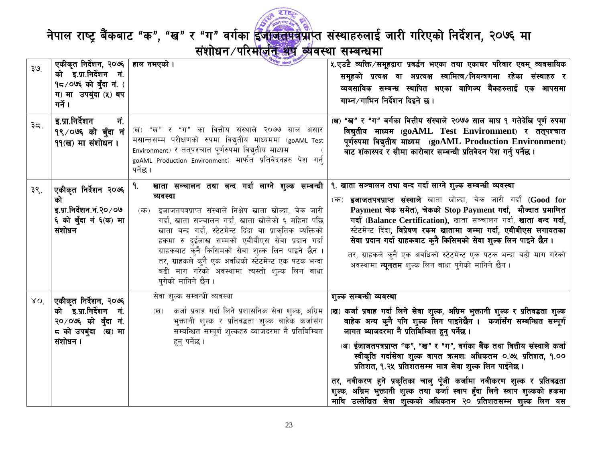

| ३७. | एकीकृत निर्देशन, २०७६                                              | यि संस्था<br>हाल नभएको ।                                                                                                                                                                                                                           | ५.एउटै व्यक्ति ∕समूहद्वारा प्रवर्द्धन भएका तथा एकाघर परिवार एवम् व्यवसायिक                                                                                                                                                                                           |
|-----|--------------------------------------------------------------------|----------------------------------------------------------------------------------------------------------------------------------------------------------------------------------------------------------------------------------------------------|----------------------------------------------------------------------------------------------------------------------------------------------------------------------------------------------------------------------------------------------------------------------|
|     | को इ.प्रा.निर्देशन नं.                                             |                                                                                                                                                                                                                                                    | समूहको प्रत्यक्ष वा अप्रत्यक्ष स्वामित्व /नियन्त्रणमा रहेका संस्थाहरु र                                                                                                                                                                                              |
|     | 9८/०७६ को बुँदा नं. (                                              |                                                                                                                                                                                                                                                    | व्यवसायिक सम्बन्ध स्थापित भएका वाणिज्य बैंकहरुलाई एक आपसमा                                                                                                                                                                                                           |
|     | ग) मा उपबुंदा (५) थप                                               |                                                                                                                                                                                                                                                    | गाभ्न ∕गाभिन निर्देशन दिइने छ।                                                                                                                                                                                                                                       |
|     | गर्ने ।                                                            |                                                                                                                                                                                                                                                    |                                                                                                                                                                                                                                                                      |
| ३८. | इ.प्रा.निर्देशन<br>नं.<br>१९/०७६ को बुँदा नं<br>११ (ख) मा संशोधन । | (ख) "ख" र "ग" का वित्तीय संस्थाले २०७७ साल असार<br>मसान्तसम्म परीक्षणको रुपमा विद्युतीय माध्यममा (goAML Test<br>Environment) र तत्पश्चात पूर्णरुपमा विद्युतीय माध्यम<br>goAML Production Environment) मार्फत  प्रतिवेदनहरु  पेश  गर्न्<br>पर्नेछ । | (ख) "ख" र "ग" वर्गका वित्तीय संस्थाले २०७७ साल माघ १ गतेदेखि पूर्ण रुपमा<br>विद्युतीय माध्यम (goAML Test Environment) र तत्पश्चात<br>पूर्णरुपमा विद्युतीय माध्यम (goAML Production Environment)<br>बाट शंकास्पद र सीमा कारोबार सम्बन्धी प्रतिवेदन पेश गर्नु पर्नेछ । |
|     |                                                                    | खाता सञ्चालन तथा बन्द गर्दा लाग्ने शुल्क सम्बन्धी<br>٩.                                                                                                                                                                                            | १. खाता सञ्चालन तथा बन्द गर्दा लाग्ने शुल्क सम्बन्धी व्यवस्था                                                                                                                                                                                                        |
| ३९. | एकीकृत निर्देशन २०७६<br>को                                         | व्यवस्था                                                                                                                                                                                                                                           | (क) <b>इजाजतपत्रप्राप्त संस्थाले</b> खाता खोल्दा, चेक जारी गर्दा (Good for                                                                                                                                                                                           |
|     | इ.प्रा.निर्देशन.नं.२०/०७                                           | (क) इजाजतपत्रप्राप्त संस्थाले निक्षेप खाता खोल्दा, चेक जारी                                                                                                                                                                                        | Payment चेक समेत), चेकको Stop Payment गर्दा, मौज्दात प्रमाणित                                                                                                                                                                                                        |
|     | ६ को बुँदा नं ६(क) मा                                              | गर्दा, खाता सञ्चालन गर्दा, खाता खोलेको ६ महिना पछि                                                                                                                                                                                                 | गर्दा (Balance Certification), खाता सञ्चालन गर्दा, खाता बन्द गर्दा,                                                                                                                                                                                                  |
|     | संशोधन                                                             | खाता बन्द गर्दा, स्टेटमेन्ट दिंदा वा प्राकृतिक व्यक्तिको                                                                                                                                                                                           | स्टेटमेन्ट दिंदा, विप्रेषण रकम खातामा जम्मा गर्दा, एबीबीएस लगायतका                                                                                                                                                                                                   |
|     |                                                                    | हकमा रु दुईलाख सम्मको एबीबीएस सेवा प्रदान गर्दा                                                                                                                                                                                                    | सेवा प्रदान गर्दा ग्राहकबाट कुनै किसिमको सेवा शुल्क लिन पाइने छैन।                                                                                                                                                                                                   |
|     |                                                                    | ग्राहकबाट क्नै किसिमको सेवा शुल्क लिन पाइने छैन ।                                                                                                                                                                                                  | तर, ग्राहकले कुनै एक अवधिको स्टेटमेन्ट एक पटक भन्दा बढी माग गरेको                                                                                                                                                                                                    |
|     |                                                                    | तर, ग्राहकले कुनै एक अवधिको स्टेटमेन्ट एक पटक भन्दा                                                                                                                                                                                                | अवस्थामा <b>न्युनतम</b> शुल्क लिन बाधा पुगेको मानिने छैन ।                                                                                                                                                                                                           |
|     |                                                                    | बढी माग गरेको अवस्थामा त्यस्तो शुल्क लिन बाधा                                                                                                                                                                                                      |                                                                                                                                                                                                                                                                      |
|     |                                                                    | पुगेको मानिने छैन ।                                                                                                                                                                                                                                |                                                                                                                                                                                                                                                                      |
| XO  | एकीकृत निर्देशन, २०७६                                              | सेवा शुल्क सम्बन्धी व्यवस्था                                                                                                                                                                                                                       | शुल्क सम्बन्धी व्यवस्था                                                                                                                                                                                                                                              |
|     | को इ.प्रा.निर्देशन नं.                                             | कर्जा प्रवाह गर्दा लिने प्रशासनिक सेवा शुल्क, अग्रिम<br>$(\overline{d})$                                                                                                                                                                           | (ख) कर्जा प्रवाह गर्दा लिने सेवा शुल्क, अग्रिम भुक्तानी शुल्क र प्रतिवद्धता शुल्क                                                                                                                                                                                    |
|     | २०/०७६ को बँदा नं.                                                 | भुक्तानी शुल्क र प्रतिवद्धता शुल्क बाहेक कर्जासँग                                                                                                                                                                                                  | बाहेक अन्य कुनै पनि शुल्क लिन पाइनेछैन ।  कर्जासँग सम्बन्धित सम्पूर्ण                                                                                                                                                                                                |
|     | ८ को उपबुंदा (ख) मा                                                | सम्बन्धित सम्पूर्ण शुल्कहरु व्याजदरमा नै प्रतिबिम्वित                                                                                                                                                                                              | लागत ब्याजदरमा नै प्रतिबिम्वित हुनु पर्नेछ ।                                                                                                                                                                                                                         |
|     | संशोधन ।                                                           | हन् पर्नेछ ।                                                                                                                                                                                                                                       |                                                                                                                                                                                                                                                                      |
|     |                                                                    |                                                                                                                                                                                                                                                    | (अ) ईजाजतपत्रप्राप्त "क", "ख" र "ग", वर्गका बैंक तथा वित्तीय संस्थाले कर्जा<br>स्वीकृति गर्दासेवा शुल्क वापत क्रमशः अधिकतम ०.७५ प्रतिशत, १.००                                                                                                                        |
|     |                                                                    |                                                                                                                                                                                                                                                    | प्रतिशत, १.२५ प्रतिशतसम्म मात्र सेवा शुल्क लिन पाईनेछ ।                                                                                                                                                                                                              |
|     |                                                                    |                                                                                                                                                                                                                                                    |                                                                                                                                                                                                                                                                      |
|     |                                                                    |                                                                                                                                                                                                                                                    | तर, नवीकरण हुने प्रकृतिका चालु पूँजी कर्जामा नवीकरण शुल्क र प्रतिवद्धता                                                                                                                                                                                              |
|     |                                                                    |                                                                                                                                                                                                                                                    | शुल्क, अग्रिम भुक्तानी शुल्क तथा कर्जा स्वाप हुँदा लिने स्वाप शुल्कको हकमा                                                                                                                                                                                           |
|     |                                                                    |                                                                                                                                                                                                                                                    | माथि उल्लेखित सेवा शुल्कको अधिकतम २० प्रतिशतसम्म शुल्क लिन यस                                                                                                                                                                                                        |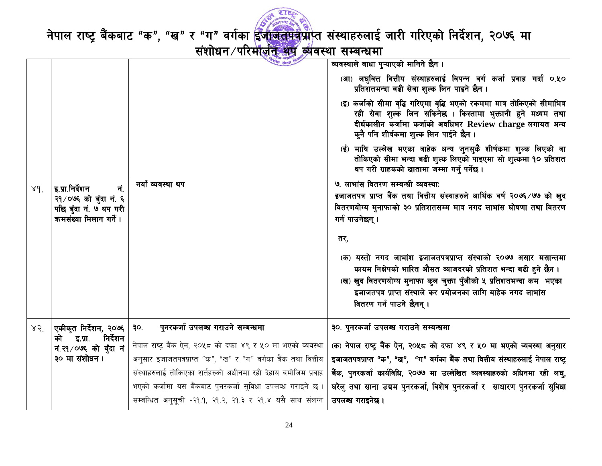

नेपाल राष्ट्र बैंकबाट "क", "ख" र "ग" वर्गका ईजीजतपत्रप्राप्त संस्थाहरुलाई जारी गरिएको निर्देशन, २०७६ मा<br>बंशोधन/परिमोजन अवस्था सम्बन्धमा

|              |                                                 | गीय संस्था                                                     | व्यवस्थाले बाधा पुऱ्याएको मानिने छैन ।                                                                                                                                                                                                            |
|--------------|-------------------------------------------------|----------------------------------------------------------------|---------------------------------------------------------------------------------------------------------------------------------------------------------------------------------------------------------------------------------------------------|
|              |                                                 |                                                                | (आ) लघुवित्त वित्तीय संस्थाहरुलाई विपन्न वर्ग कर्जा प्रवाह गर्दा ०.५०<br>प्रतिशतभन्दा बढी सेवा शुल्क लिन पाइने छैन ।                                                                                                                              |
|              |                                                 |                                                                | (इ) कर्जाको सीमा वृद्धि गरिएमा वृद्धि भएको रकममा मात्र तोकिएको सीमाभित्र<br>रही सेवा शुल्क लिन सकिनेछ । किस्तामा भुक्तानी हुने मध्यम तथा<br>दीर्घकालीन कर्जामा कर्जाको अवधिभर Review charge लगायत अन्य<br>कुनै पनि शीर्षकमा शुल्क लिन पाईने छैन । |
|              |                                                 |                                                                | (ई) माथि उल्लेख भएका बाहेक अन्य जुनसुकै शीर्षकमा शुल्क लिएको वा<br>तोकिएको सीमा भन्दा बढी शुल्क लिएको पाइएमा सो शुल्कमा १० प्रतिशत<br>थप गरी ग्राहकको खातामा जम्मा गर्नु पर्नेछ ।                                                                 |
| 89.          | नं.<br>इ.प्रा.निर्देशन                          | नयाँ व्यवस्था थप                                               | ७. लाभांस वितरण सम्बन्धी व्यवस्थाः                                                                                                                                                                                                                |
|              | २१/०७६ को बुँदा नं. ६                           |                                                                | इजाजतपत्र प्राप्त बैंक तथा वित्तीय संस्थाहरुले आर्थिक वर्ष २०७६/७७ को खुद                                                                                                                                                                         |
|              | पछि बुँदा नं. ७ थप गरी                          |                                                                | वितरणयोग्य मुनाफाको ३० प्रतिशतसम्म मात्र नगद लाभांस घोषणा तथा वितरण                                                                                                                                                                               |
|              | कमसंख्या मिलान गर्ने।                           |                                                                | गर्न पाउनेछन्।                                                                                                                                                                                                                                    |
|              |                                                 |                                                                | तर,                                                                                                                                                                                                                                               |
|              |                                                 |                                                                | (क) यस्तो नगद लाभांश इजाजतपत्रप्राप्त संस्थाको २०७७ असार मसान्तमा<br>कायम निक्षेपको भारित औसत ब्याजदरको प्रतिशत भन्दा बढी हुने छैन ।                                                                                                              |
|              |                                                 |                                                                | (ख) खुद वितरणयोग्य मुनाफा कुल चुक्ता पुँजीको ५ प्रतिशतभन्दा कम भएका                                                                                                                                                                               |
|              |                                                 |                                                                | इजाजतपत्र प्राप्त संस्थाले कर प्रयोजनका लागि बाहेक नगद लाभांस                                                                                                                                                                                     |
|              |                                                 |                                                                | वितरण गर्न पाउने छैनन् ।                                                                                                                                                                                                                          |
| $85^{\circ}$ | एकीकृत निर्देशन, २०७६                           | पुनरकर्जा उपलब्ध गराउने सम्बन्धमा<br>३०.                       | ३०. पुनरकर्जा उपलब्ध गराउने सम्बन्धमा                                                                                                                                                                                                             |
|              | निर्देशन<br>को इ.प्रा.<br>नं.२१/०७६ को बुँदा नं | नेपाल राष्ट्र बैंक ऐन, २०५८ को दफा ४९ र ५० मा भएको व्यवस्था    | (क) नेपाल राष्ट्र बैंक ऐन, २०५८ को दफा ४९ र ५० मा भएको व्यवस्था अनुसार                                                                                                                                                                            |
|              | ३० मा संशोधन।                                   | अनुसार इजाजतपत्रप्राप्त "क", "ख" र "ग" वर्गका बैंक तथा वित्तीय | इजाजतपत्रप्राप्त "क", "ख", "ग" वर्गका बैंक तथा वित्तीय संस्थाहरुलाई नेपाल राष्ट्र                                                                                                                                                                 |
|              |                                                 | संस्थाहरुलाई तोकिएका शर्तहरुको अधीनमा रही देहाय बमोजिम प्रवाह  | बैंक, पुनरकर्जा कार्यविधि, २०७७ मा उल्लेखित व्यवस्थाहरुको अधिनमा रही लघु,                                                                                                                                                                         |
|              |                                                 | भएको कर्जामा यस बैंकबाट पुनरकर्जा सुविधा उपलब्ध गराइने छ ।     | घरेलु तथा साना उद्यम पुनरकर्जा, विशेष पुनरकर्जा र  साधारण पुनरकर्जा सुविधा                                                                                                                                                                        |
|              |                                                 | सम्बन्धित अनुसूची -२१.१, २१.२, २१.३ र २१.४ यसै साथ संलग्न      | उपलब्ध गराइनेछ।                                                                                                                                                                                                                                   |
|              |                                                 |                                                                |                                                                                                                                                                                                                                                   |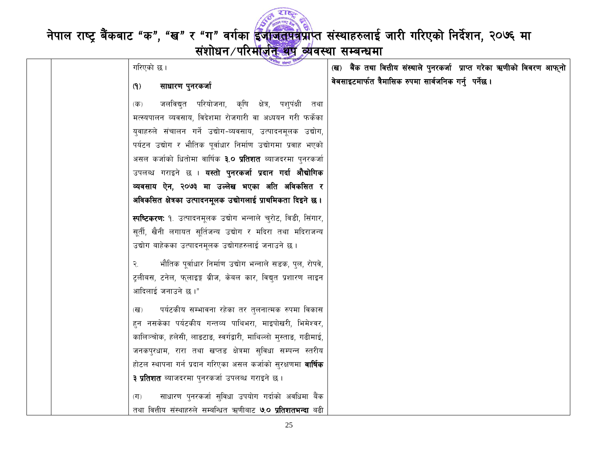

नेपाल राष्ट्र बैंकबाट "क", "ख" र "ग" वर्गका <mark>ईजाजतपत्र</mark>प्राप्त संस्थाहरुलाई जारी गरिएको निर्देशन, २०७६ मा<br>संशोधन /परिमाज़ीत व्यवस्था सम्बन्धमा

| पतीय संस्था !"<br>गरिएको छ।                                          | (ख) बैंक तथा वित्तीय संस्थाले पुनरकर्जा प्राप्त गरेका ऋणीको विवरण आफ् <b>नो</b> |  |
|----------------------------------------------------------------------|---------------------------------------------------------------------------------|--|
| साधारण पुनरकर्जा<br>(9)                                              | वेबसाइटमार्फत त्रैमासिक रुपमा सार्वजनिक गर्नु पर्नेछ ।                          |  |
| जलविद्युत परियोजना, कृषि क्षेत्र, पश्पंक्षी तथा<br>(क)               |                                                                                 |  |
| मत्स्यपालन व्यवसाय, विदेशमा रोजगारी वा अध्ययन गरी फर्केका            |                                                                                 |  |
| युवाहरुले संचालन गर्ने उद्योग-व्यवसाय, उत्पादनमूलक उद्योग,           |                                                                                 |  |
| पर्यटन उद्योग र भौतिक पूर्वाधार निर्माण उद्योगमा प्रवाह भएको         |                                                                                 |  |
| असल कर्जाको धितोमा वार्षिक <b>३.० प्रतिशत</b> ब्याजदरमा पुनरकर्जा    |                                                                                 |  |
| उपलब्ध गराइने छ । <b>यस्तो पुनरकर्जा प्रदान गर्दा औद्योगिक</b>       |                                                                                 |  |
| व्यवसाय ऐन, २०७३ मा उल्लेख भएका अति अविकसित र                        |                                                                                 |  |
| अविकसित क्षेत्रका उत्पादनमूलक उद्योगलाई प्राथमिकता दिइने छ ।         |                                                                                 |  |
| स्पष्टिकरण: १. उत्पादनमूलक उद्योग भन्नाले चुरोट, विडी, सिंगार,       |                                                                                 |  |
| सूर्ती, खैनी लगायत सूर्तिजन्य उद्योग र मदिरा तथा मदिराजन्य           |                                                                                 |  |
| उद्योग बाहेकका उत्पादनमूलक उद्योगहरुलाई जनाउने छ ।                   |                                                                                 |  |
| भौतिक पूर्वाधार निर्माण उद्योग भन्नाले सडक, पुल, रोपवे,<br>२.        |                                                                                 |  |
| ट्लीबस, टनेल, फ्लाइङ्ग ब्रीज, केबल कार, विद्युत प्रशारण लाइन         |                                                                                 |  |
| आदिलाई जनाउने छ।"                                                    |                                                                                 |  |
| पर्यटकीय सम्भावना रहेका तर तुलनात्मक रुपमा विकास<br>(ख)              |                                                                                 |  |
| हन नसकेका पर्यटकीय गन्तव्य पाथिभरा, माइपोखरी, भिमेश्वर,              |                                                                                 |  |
| कालिञ्चोक, हलेसी, लाडटाड, स्वर्गद्वारी, माथिल्लो मुस्ताड, गढीमाई,    |                                                                                 |  |
| जनकपुरधाम, रारा तथा खप्तड क्षेत्रमा सुविधा सम्पन्न स्तरीय            |                                                                                 |  |
| होटल स्थापना गर्न प्रदान गरिएका असल कर्जाको सुरक्षणमा <b>वार्षिक</b> |                                                                                 |  |
| <b>३ प्रतिशत</b> ब्याजदरमा पुनरकर्जा उपलब्ध गराइने छ ।               |                                                                                 |  |
| साधारण पुनरकर्जा सुविधा उपयोग गर्दाको अवधिमा बैंक<br>(T)             |                                                                                 |  |
| तथा वित्तीय संस्थाहरुले सम्बन्धित ऋणीबाट <b>७.० प्रतिशतभन्दा</b> बढी |                                                                                 |  |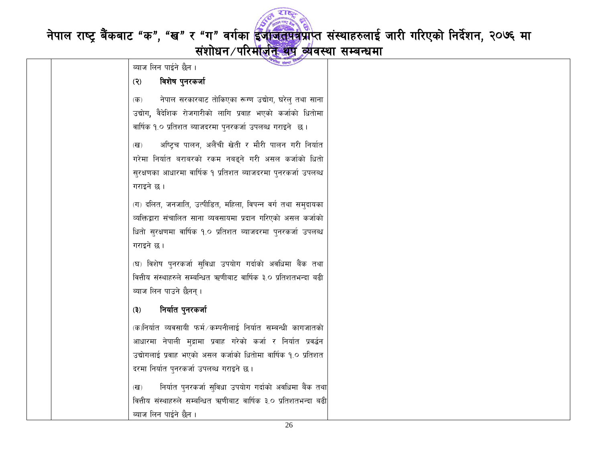

| लीय संस्था !"<br>ब्याज लिन पाईने छैन ।                                   |  |
|--------------------------------------------------------------------------|--|
| विशेष पुनरकर्जा<br>(3)                                                   |  |
| नेपाल सरकारबाट तोकिएका रूग्ण उद्योग, घरेल् तथा साना<br>$(\overline{d}$ ) |  |
| उद्योग, वैदेशिक रोजगारीको लागि प्रवाह भएको कर्जाको धितोमा                |  |
| वार्षिक १.० प्रतिशत ब्याजदरमा पुनरकर्जा उपलब्ध गराइने छ।                 |  |
|                                                                          |  |
| अष्ट्चि पालन, अलैंची खेती र मौरी पालन गरी निर्यात<br>(ख)                 |  |
| गरेमा निर्यात बराबरको रकम नबढ्ने गरी असल कर्जाको धितो                    |  |
| सुरक्षणका आधारमा वार्षिक १ प्रतिशत ब्याजदरमा पुनरकर्जा उपलब्ध            |  |
| गराइने छ।                                                                |  |
| (ग) दलित, जनजाति, उत्पीडित, महिला, विपन्न वर्ग तथा सम्दायका              |  |
| व्यक्तिद्वारा संचालित साना व्यवसायमा प्रदान गरिएको असल कर्जाको           |  |
| धितो सुरक्षणमा वार्षिक १.० प्रतिशत ब्याजदरमा पुनरकर्जा उपलब्ध            |  |
| गराइने छ।                                                                |  |
| (घ) विशेष पुनरकर्जा सुविधा उपयोग गर्दाको अवधिमा बैंक तथा                 |  |
| वित्तीय संस्थाहरुले सम्बन्धित ऋणीबाट वार्षिक ३.० प्रतिशतभन्दा बढी        |  |
|                                                                          |  |
| व्याज लिन पाउने छैनन् ।                                                  |  |
| निर्यात पुनरकर्जा<br>(3)                                                 |  |
| (क)निर्यात व्यवसायी फर्म कम्पनीलाई निर्यात सम्बन्धी कागजातको             |  |
| आधारमा नेपाली मुद्रामा प्रवाह गरेको कर्जा र निर्यात प्रवर्द्धन           |  |
| उद्योगलाई प्रवाह भएको असल कर्जाको धितोमा वार्षिक १.० प्रतिशत             |  |
| दरमा निर्यात पुनरकर्जा उपलब्ध गराइने छ।                                  |  |
| निर्यात पुनरकर्जा सुविधा उपयोग गर्दाको अवधिमा बैंक तथा<br>(ख)            |  |
| वित्तीय संस्थाहरुले सम्बन्धित ऋणीबाट वार्षिक ३.० प्रतिशतभन्दा बढी        |  |
| ब्याज लिन पाईने छैन ।                                                    |  |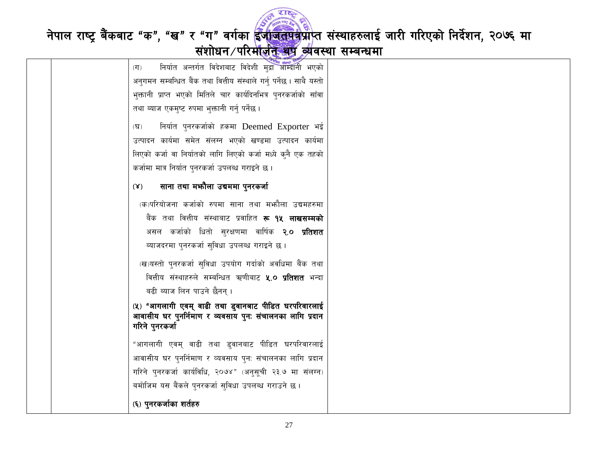

|  | निर्यात अन्तर्गत विदेशबाट विदेशी मुद्रा आम्दानी भएको<br>(T)                                                      |  |
|--|------------------------------------------------------------------------------------------------------------------|--|
|  | अनुगमन सम्बन्धित बैंक तथा वित्तीय संस्थाले गर्नु पर्नेछ। साथै यस्तो                                              |  |
|  | भुक्तानी प्राप्त भएको मितिले चार कार्यदिनभित्र पुनरकर्जाको साँवा                                                 |  |
|  |                                                                                                                  |  |
|  | तथा ब्याज एकमुष्ट रुपमा भुक्तानी गर्नु पर्नेछ ।                                                                  |  |
|  | निर्यात पुनरकर्जाको हकमा Deemed Exporter भई<br>(घ)                                                               |  |
|  | उत्पादन कार्यमा समेत संलग्न भएको खण्डमा उत्पादन कार्यमा                                                          |  |
|  | लिएको कर्जा वा निर्यातको लागि लिएको कर्जा मध्ये कुनै एक तहको                                                     |  |
|  | कर्जामा मात्र निर्यात पुनरकर्जा उपलब्ध गराइने छ।                                                                 |  |
|  | साना तथा मभ्गैला उबममा पुनरकर्जा<br>$(\mathbf{X})$                                                               |  |
|  | (क)परियोजना कर्जाको रुपमा साना तथा मभ्जौला उद्यमहरुमा                                                            |  |
|  | बैंक तथा वित्तीय संस्थाबाट प्रवाहित <b>रू १५ लाखसम्मको</b>                                                       |  |
|  | असल कर्जाको धितो सुरक्षणमा वार्षिक <b>२.० प्रतिशत</b>                                                            |  |
|  | व्याजदरमा पुनरकर्जा सुविधा उपलब्ध गराइने छ ।                                                                     |  |
|  | (ख)यस्तो पुनरकर्जा सुविधा उपयोग गर्दाको अवधिमा बैंक तथा                                                          |  |
|  | वित्तीय संस्थाहरुले सम्बन्धित ऋणीबाट <b>५.० प्रतिशत</b> भन्दा                                                    |  |
|  | बढी ब्याज लिन पाउने छैनन् ।                                                                                      |  |
|  |                                                                                                                  |  |
|  | (५) "आगलागी एवम् वाढी तथा डुवानबाट पीडित घरपरिवारलाई<br>आवासीय घर पुनर्निमाण र व्यवसाय पुनः संचालनका लागि प्रदान |  |
|  | गरिने पुनरकर्जा                                                                                                  |  |
|  | "आगलागी एवम् वाढी तथा डुवानबाट पीडित घरपरिवारलाई                                                                 |  |
|  | आवासीय घर पुनर्निमाण र व्यवसाय पुनः संचालनका लागि प्रदान                                                         |  |
|  | गरिने पुनरकर्जा कार्यविधि, २०७४" (अनुसूची २३.७ मा संलग्न)                                                        |  |
|  |                                                                                                                  |  |
|  | बमोजिम यस बैंकले पुनरकर्जा सुविधा उपलब्ध गराउने छ ।                                                              |  |
|  | (६) पुनरकर्जाका शर्तहरु                                                                                          |  |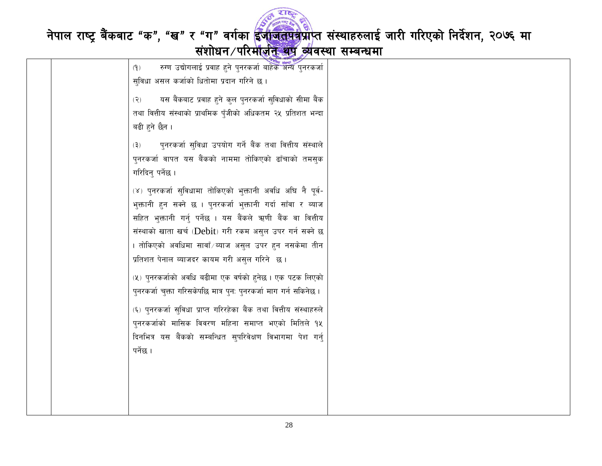

| रुग्ण उद्योगलाई प्रवाह हुने पुनरकर्जा बाहेक अन्य पुनरकर्जा<br>(9)  |  |
|--------------------------------------------------------------------|--|
| सुविधा असल कर्जाको धितोमा प्रदान गरिने छ ।                         |  |
| यस बैंकबाट प्रवाह हुने कुल पुनरकर्जा सुविधाको सीमा बैंक<br>(5)     |  |
| तथा वित्तीय संस्थाको प्राथमिक पुँजीको अधिकतम २५ प्रतिशत भन्दा      |  |
| बढी हुने छैन ।                                                     |  |
| पुनरकर्जा सुविधा उपयोग गर्ने बैंक तथा वित्तीय संस्थाले<br>(3)      |  |
| पुनरकर्जा वापत यस बैंकको नाममा तोकिएको ढाँचाको तमसुक               |  |
| गरिदिन् पर्नेछ ।                                                   |  |
| (४) पुनरकर्जा सुविधामा तोकिएको भुक्तानी अवधि अघि नै पूर्व-         |  |
| भुक्तानी हुन सक्ने छ । पुनरकर्जा भुक्तानी गर्दा साँवा र ब्याज      |  |
| सहित भुक्तानी गर्न् पर्नेछ । यस बैंकले ऋणी बैंक वा वित्तीय         |  |
| संस्थाको खाता खर्च (Debit) गरी रकम असुल उपर गर्न सक्ने छ           |  |
| । तोकिएको अवधिमा सावाँ ∕ब्याज असुल उपर हन नसकेमा तीन               |  |
| प्रतिशत पेनाल ब्याजदर कायम गरी असुल गरिने छ ।                      |  |
| (५) पुनरकर्जाको अवधि बढीमा एक वर्षको हुनेछ । एक पटक लिएको          |  |
| पुनरकर्जा चुक्ता गरिसकेपछि मात्र पुन: पुनरकर्जा माग गर्न सकिनेछ ।  |  |
|                                                                    |  |
| (६) पुनरकर्जा सुविधा प्राप्त गरिरहेका बैंक तथा वित्तीय संस्थाहरुले |  |
| पुनरकर्जाको मासिक विवरण महिना समाप्त भएको मितिले १५                |  |
| दिनभित्र यस बैंकको सम्बन्धित सुपरिवेक्षण विभागमा पेश गर्नु         |  |
| पर्नेछ ।                                                           |  |
|                                                                    |  |
|                                                                    |  |
|                                                                    |  |
|                                                                    |  |